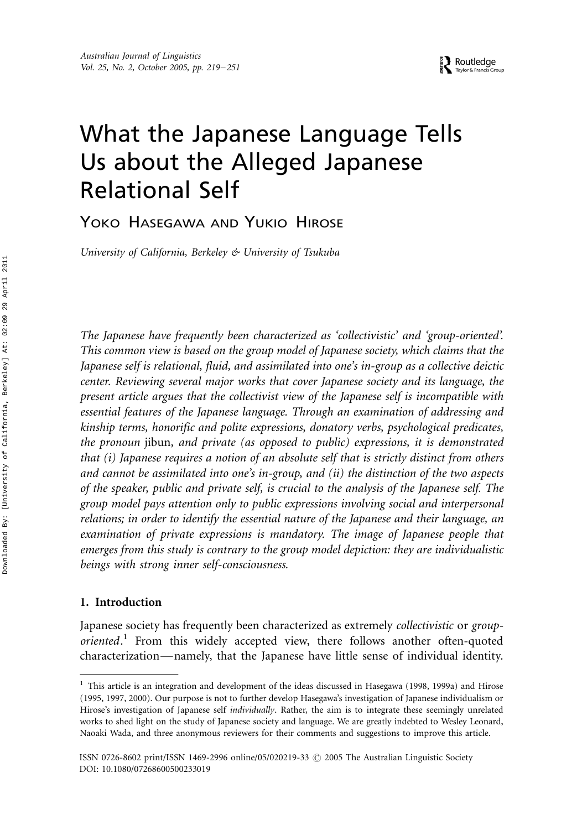# What the Japanese Language Tells Us about the Alleged Japanese Relational Self

YOKO HASEGAWA AND YUKIO HIROSE

University of California, Berkeley & University of Tsukuba

The Japanese have frequently been characterized as 'collectivistic' and 'group-oriented'. This common view is based on the group model of Japanese society, which claims that the Japanese self is relational, fluid, and assimilated into one's in-group as a collective deictic center. Reviewing several major works that cover Japanese society and its language, the present article argues that the collectivist view of the Japanese self is incompatible with essential features of the Japanese language. Through an examination of addressing and kinship terms, honorific and polite expressions, donatory verbs, psychological predicates, the pronoun jibun, and private (as opposed to public) expressions, it is demonstrated that (i) Japanese requires a notion of an absolute self that is strictly distinct from others and cannot be assimilated into one's in-group, and (ii) the distinction of the two aspects of the speaker, public and private self, is crucial to the analysis of the Japanese self. The group model pays attention only to public expressions involving social and interpersonal relations; in order to identify the essential nature of the Japanese and their language, an examination of private expressions is mandatory. The image of Japanese people that emerges from this study is contrary to the group model depiction: they are individualistic beings with strong inner self-consciousness.

## 1. Introduction

Japanese society has frequently been characterized as extremely collectivistic or grouporiented.<sup>1</sup> From this widely accepted view, there follows another often-quoted characterization—namely, that the Japanese have little sense of individual identity.

<sup>&</sup>lt;sup>1</sup> This article is an integration and development of the ideas discussed in Hasegawa (1998, 1999a) and Hirose (1995, 1997, 2000). Our purpose is not to further develop Hasegawa's investigation of Japanese individualism or Hirose's investigation of Japanese self *individually*. Rather, the aim is to integrate these seemingly unrelated works to shed light on the study of Japanese society and language. We are greatly indebted to Wesley Leonard, Naoaki Wada, and three anonymous reviewers for their comments and suggestions to improve this article.

ISSN 0726-8602 print/ISSN 1469-2996 online/05/020219-33 © 2005 The Australian Linguistic Society DOI: 10.1080/07268600500233019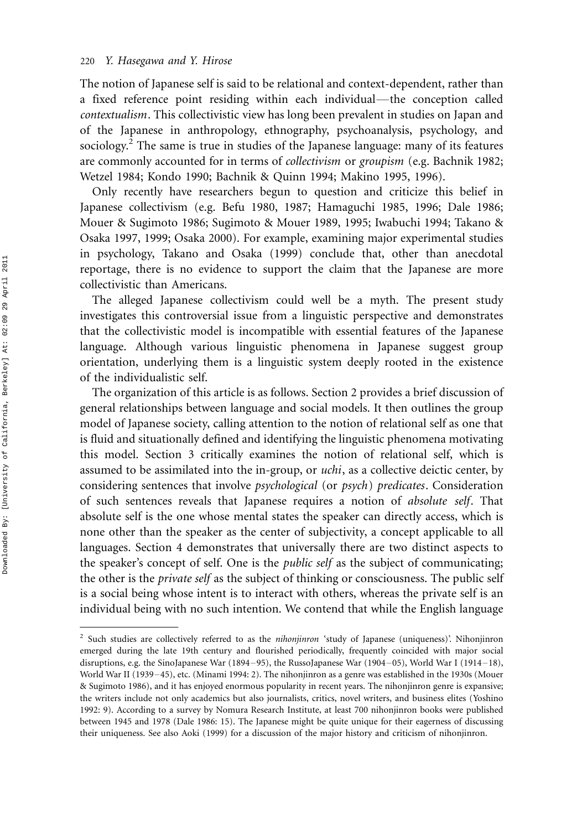The notion of Japanese self is said to be relational and context-dependent, rather than a fixed reference point residing within each individual—the conception called contextualism. This collectivistic view has long been prevalent in studies on Japan and of the Japanese in anthropology, ethnography, psychoanalysis, psychology, and sociology.<sup>2</sup> The same is true in studies of the Japanese language: many of its features are commonly accounted for in terms of collectivism or groupism (e.g. Bachnik 1982; Wetzel 1984; Kondo 1990; Bachnik & Quinn 1994; Makino 1995, 1996).

Only recently have researchers begun to question and criticize this belief in Japanese collectivism (e.g. Befu 1980, 1987; Hamaguchi 1985, 1996; Dale 1986; Mouer & Sugimoto 1986; Sugimoto & Mouer 1989, 1995; Iwabuchi 1994; Takano & Osaka 1997, 1999; Osaka 2000). For example, examining major experimental studies in psychology, Takano and Osaka (1999) conclude that, other than anecdotal reportage, there is no evidence to support the claim that the Japanese are more collectivistic than Americans.

The alleged Japanese collectivism could well be a myth. The present study investigates this controversial issue from a linguistic perspective and demonstrates that the collectivistic model is incompatible with essential features of the Japanese language. Although various linguistic phenomena in Japanese suggest group orientation, underlying them is a linguistic system deeply rooted in the existence of the individualistic self.

The organization of this article is as follows. Section 2 provides a brief discussion of general relationships between language and social models. It then outlines the group model of Japanese society, calling attention to the notion of relational self as one that is fluid and situationally defined and identifying the linguistic phenomena motivating this model. Section 3 critically examines the notion of relational self, which is assumed to be assimilated into the in-group, or uchi, as a collective deictic center, by considering sentences that involve psychological (or psych) predicates. Consideration of such sentences reveals that Japanese requires a notion of absolute self. That absolute self is the one whose mental states the speaker can directly access, which is none other than the speaker as the center of subjectivity, a concept applicable to all languages. Section 4 demonstrates that universally there are two distinct aspects to the speaker's concept of self. One is the *public self* as the subject of communicating; the other is the private self as the subject of thinking or consciousness. The public self is a social being whose intent is to interact with others, whereas the private self is an individual being with no such intention. We contend that while the English language

<sup>&</sup>lt;sup>2</sup> Such studies are collectively referred to as the *nihonjinron* 'study of Japanese (uniqueness)'. Nihonjinron emerged during the late 19th century and flourished periodically, frequently coincided with major social disruptions, e.g. the SinoJapanese War (1894–95), the RussoJapanese War (1904–05), World War I (1914–18), World War II (1939–45), etc. (Minami 1994: 2). The nihonjinron as a genre was established in the 1930s (Mouer & Sugimoto 1986), and it has enjoyed enormous popularity in recent years. The nihonjinron genre is expansive; the writers include not only academics but also journalists, critics, novel writers, and business elites (Yoshino 1992: 9). According to a survey by Nomura Research Institute, at least 700 nihonjinron books were published between 1945 and 1978 (Dale 1986: 15). The Japanese might be quite unique for their eagerness of discussing their uniqueness. See also Aoki (1999) for a discussion of the major history and criticism of nihonjinron.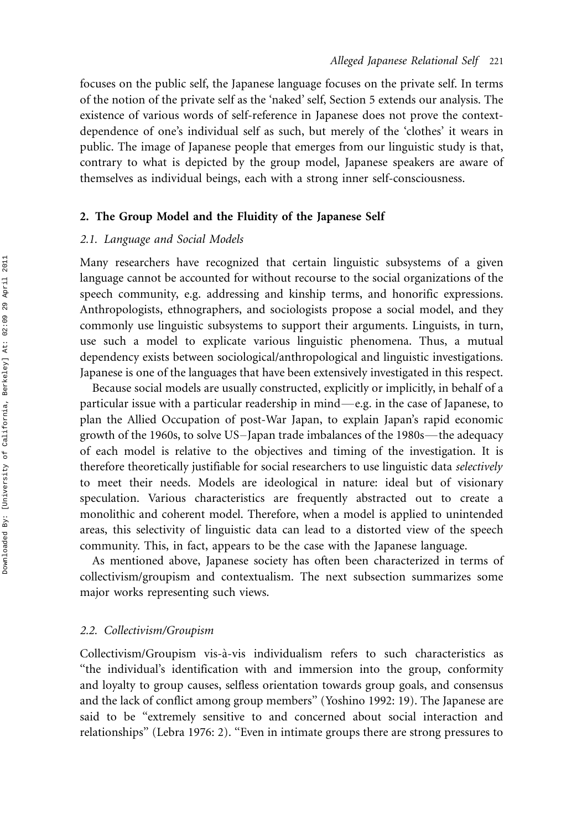focuses on the public self, the Japanese language focuses on the private self. In terms of the notion of the private self as the 'naked' self, Section 5 extends our analysis. The existence of various words of self-reference in Japanese does not prove the contextdependence of one's individual self as such, but merely of the 'clothes' it wears in public. The image of Japanese people that emerges from our linguistic study is that, contrary to what is depicted by the group model, Japanese speakers are aware of themselves as individual beings, each with a strong inner self-consciousness.

## 2. The Group Model and the Fluidity of the Japanese Self

## 2.1. Language and Social Models

Many researchers have recognized that certain linguistic subsystems of a given language cannot be accounted for without recourse to the social organizations of the speech community, e.g. addressing and kinship terms, and honorific expressions. Anthropologists, ethnographers, and sociologists propose a social model, and they commonly use linguistic subsystems to support their arguments. Linguists, in turn, use such a model to explicate various linguistic phenomena. Thus, a mutual dependency exists between sociological/anthropological and linguistic investigations. Japanese is one of the languages that have been extensively investigated in this respect.

Because social models are usually constructed, explicitly or implicitly, in behalf of a particular issue with a particular readership in mind—e.g. in the case of Japanese, to plan the Allied Occupation of post-War Japan, to explain Japan's rapid economic growth of the 1960s, to solve US–Japan trade imbalances of the 1980s—the adequacy of each model is relative to the objectives and timing of the investigation. It is therefore theoretically justifiable for social researchers to use linguistic data selectively to meet their needs. Models are ideological in nature: ideal but of visionary speculation. Various characteristics are frequently abstracted out to create a monolithic and coherent model. Therefore, when a model is applied to unintended areas, this selectivity of linguistic data can lead to a distorted view of the speech community. This, in fact, appears to be the case with the Japanese language.

As mentioned above, Japanese society has often been characterized in terms of collectivism/groupism and contextualism. The next subsection summarizes some major works representing such views.

## 2.2. Collectivism/Groupism

Collectivism/Groupism vis-a`-vis individualism refers to such characteristics as ''the individual's identification with and immersion into the group, conformity and loyalty to group causes, selfless orientation towards group goals, and consensus and the lack of conflict among group members'' (Yoshino 1992: 19). The Japanese are said to be ''extremely sensitive to and concerned about social interaction and relationships'' (Lebra 1976: 2). ''Even in intimate groups there are strong pressures to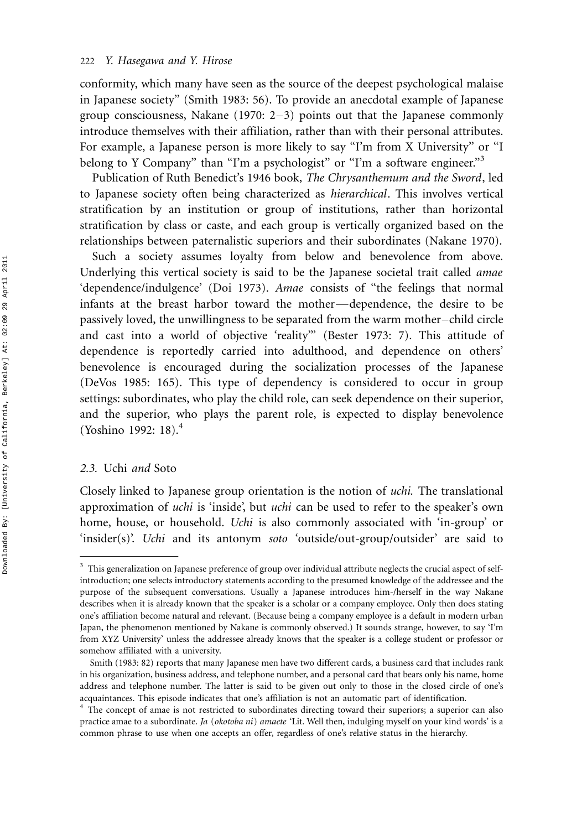conformity, which many have seen as the source of the deepest psychological malaise in Japanese society'' (Smith 1983: 56). To provide an anecdotal example of Japanese group consciousness, Nakane (1970: 2-/3) points out that the Japanese commonly introduce themselves with their affiliation, rather than with their personal attributes. For example, a Japanese person is more likely to say "I'm from X University" or "I belong to Y Company" than "I'm a psychologist" or "I'm a software engineer."<sup>3</sup>

Publication of Ruth Benedict's 1946 book, The Chrysanthemum and the Sword, led to Japanese society often being characterized as hierarchical. This involves vertical stratification by an institution or group of institutions, rather than horizontal stratification by class or caste, and each group is vertically organized based on the relationships between paternalistic superiors and their subordinates (Nakane 1970).

Such a society assumes loyalty from below and benevolence from above. Underlying this vertical society is said to be the Japanese societal trait called *amae* 'dependence/indulgence' (Doi 1973). Amae consists of ''the feelings that normal infants at the breast harbor toward the mother—dependence, the desire to be passively loved, the unwillingness to be separated from the warm mother-child circle and cast into a world of objective 'reality''' (Bester 1973: 7). This attitude of dependence is reportedly carried into adulthood, and dependence on others' benevolence is encouraged during the socialization processes of the Japanese (DeVos 1985: 165). This type of dependency is considered to occur in group settings: subordinates, who play the child role, can seek dependence on their superior, and the superior, who plays the parent role, is expected to display benevolence (Yoshino 1992: 18).4

## 2.3. Uchi and Soto

Closely linked to Japanese group orientation is the notion of uchi. The translational approximation of *uchi* is 'inside', but *uchi* can be used to refer to the speaker's own home, house, or household. *Uchi* is also commonly associated with 'in-group' or 'insider(s)'. Uchi and its antonym soto 'outside/out-group/outsider' are said to

 $^3\,$  This generalization on Japanese preference of group over individual attribute neglects the crucial aspect of selfintroduction; one selects introductory statements according to the presumed knowledge of the addressee and the purpose of the subsequent conversations. Usually a Japanese introduces him-/herself in the way Nakane describes when it is already known that the speaker is a scholar or a company employee. Only then does stating one's affiliation become natural and relevant. (Because being a company employee is a default in modern urban Japan, the phenomenon mentioned by Nakane is commonly observed.) It sounds strange, however, to say 'I'm from XYZ University' unless the addressee already knows that the speaker is a college student or professor or somehow affiliated with a university.

Smith (1983: 82) reports that many Japanese men have two different cards, a business card that includes rank in his organization, business address, and telephone number, and a personal card that bears only his name, home address and telephone number. The latter is said to be given out only to those in the closed circle of one's acquaintances. This episode indicates that one's affiliation is not an automatic part of identification.

<sup>4</sup> The concept of amae is not restricted to subordinates directing toward their superiors; a superior can also practice amae to a subordinate. Ja (okotoba ni) amaete 'Lit. Well then, indulging myself on your kind words' is a common phrase to use when one accepts an offer, regardless of one's relative status in the hierarchy.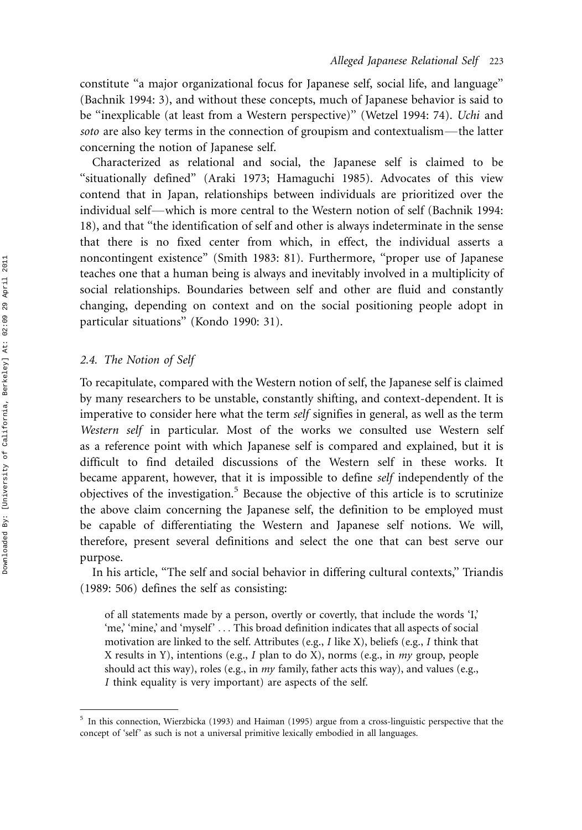constitute ''a major organizational focus for Japanese self, social life, and language'' (Bachnik 1994: 3), and without these concepts, much of Japanese behavior is said to be ''inexplicable (at least from a Western perspective)'' (Wetzel 1994: 74). Uchi and soto are also key terms in the connection of groupism and contextualism—the latter concerning the notion of Japanese self.

Characterized as relational and social, the Japanese self is claimed to be ''situationally defined'' (Araki 1973; Hamaguchi 1985). Advocates of this view contend that in Japan, relationships between individuals are prioritized over the individual self—which is more central to the Western notion of self (Bachnik 1994: 18), and that ''the identification of self and other is always indeterminate in the sense that there is no fixed center from which, in effect, the individual asserts a noncontingent existence'' (Smith 1983: 81). Furthermore, ''proper use of Japanese teaches one that a human being is always and inevitably involved in a multiplicity of social relationships. Boundaries between self and other are fluid and constantly changing, depending on context and on the social positioning people adopt in particular situations'' (Kondo 1990: 31).

## 2.4. The Notion of Self

To recapitulate, compared with the Western notion of self, the Japanese self is claimed by many researchers to be unstable, constantly shifting, and context-dependent. It is imperative to consider here what the term self signifies in general, as well as the term Western self in particular. Most of the works we consulted use Western self as a reference point with which Japanese self is compared and explained, but it is difficult to find detailed discussions of the Western self in these works. It became apparent, however, that it is impossible to define self independently of the objectives of the investigation.<sup>5</sup> Because the objective of this article is to scrutinize the above claim concerning the Japanese self, the definition to be employed must be capable of differentiating the Western and Japanese self notions. We will, therefore, present several definitions and select the one that can best serve our purpose.

In his article, ''The self and social behavior in differing cultural contexts,'' Triandis (1989: 506) defines the self as consisting:

of all statements made by a person, overtly or covertly, that include the words 'I,' 'me,' 'mine,' and 'myself' ... This broad definition indicates that all aspects of social motivation are linked to the self. Attributes (e.g., I like X), beliefs (e.g., I think that X results in Y), intentions (e.g., I plan to do X), norms (e.g., in my group, people should act this way), roles (e.g., in  $my$  family, father acts this way), and values (e.g., I think equality is very important) are aspects of the self.

<sup>5</sup> In this connection, Wierzbicka (1993) and Haiman (1995) argue from a cross-linguistic perspective that the concept of 'self' as such is not a universal primitive lexically embodied in all languages.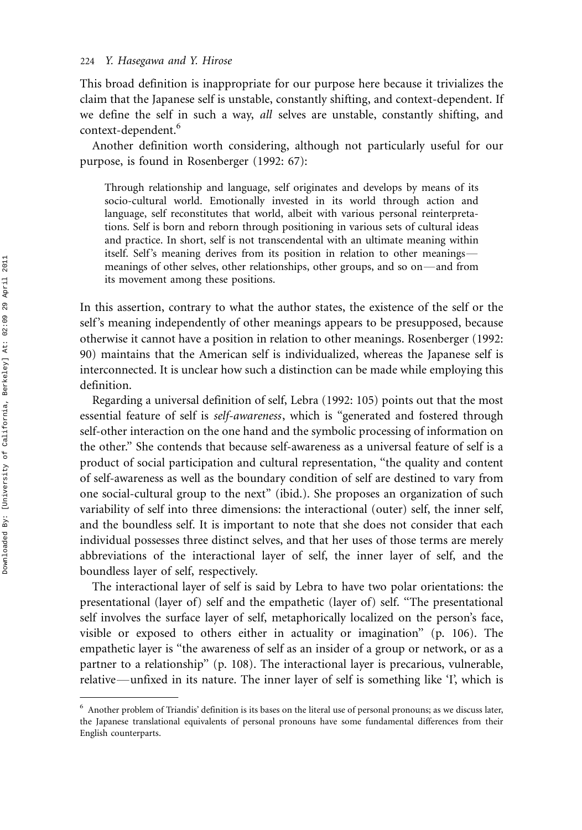This broad definition is inappropriate for our purpose here because it trivializes the claim that the Japanese self is unstable, constantly shifting, and context-dependent. If we define the self in such a way, all selves are unstable, constantly shifting, and context-dependent.<sup>6</sup>

Another definition worth considering, although not particularly useful for our purpose, is found in Rosenberger (1992: 67):

Through relationship and language, self originates and develops by means of its socio-cultural world. Emotionally invested in its world through action and language, self reconstitutes that world, albeit with various personal reinterpretations. Self is born and reborn through positioning in various sets of cultural ideas and practice. In short, self is not transcendental with an ultimate meaning within itself. Self's meaning derives from its position in relation to other meaningsmeanings of other selves, other relationships, other groups, and so on—and from its movement among these positions.

In this assertion, contrary to what the author states, the existence of the self or the self's meaning independently of other meanings appears to be presupposed, because otherwise it cannot have a position in relation to other meanings. Rosenberger (1992: 90) maintains that the American self is individualized, whereas the Japanese self is interconnected. It is unclear how such a distinction can be made while employing this definition.

Regarding a universal definition of self, Lebra (1992: 105) points out that the most essential feature of self is *self-awareness*, which is "generated and fostered through self-other interaction on the one hand and the symbolic processing of information on the other.'' She contends that because self-awareness as a universal feature of self is a product of social participation and cultural representation, ''the quality and content of self-awareness as well as the boundary condition of self are destined to vary from one social-cultural group to the next'' (ibid.). She proposes an organization of such variability of self into three dimensions: the interactional (outer) self, the inner self, and the boundless self. It is important to note that she does not consider that each individual possesses three distinct selves, and that her uses of those terms are merely abbreviations of the interactional layer of self, the inner layer of self, and the boundless layer of self, respectively.

The interactional layer of self is said by Lebra to have two polar orientations: the presentational (layer of) self and the empathetic (layer of) self. ''The presentational self involves the surface layer of self, metaphorically localized on the person's face, visible or exposed to others either in actuality or imagination'' (p. 106). The empathetic layer is ''the awareness of self as an insider of a group or network, or as a partner to a relationship" (p. 108). The interactional layer is precarious, vulnerable, relative—unfixed in its nature. The inner layer of self is something like 'I', which is

<sup>6</sup> Another problem of Triandis' definition is its bases on the literal use of personal pronouns; as we discuss later, the Japanese translational equivalents of personal pronouns have some fundamental differences from their English counterparts.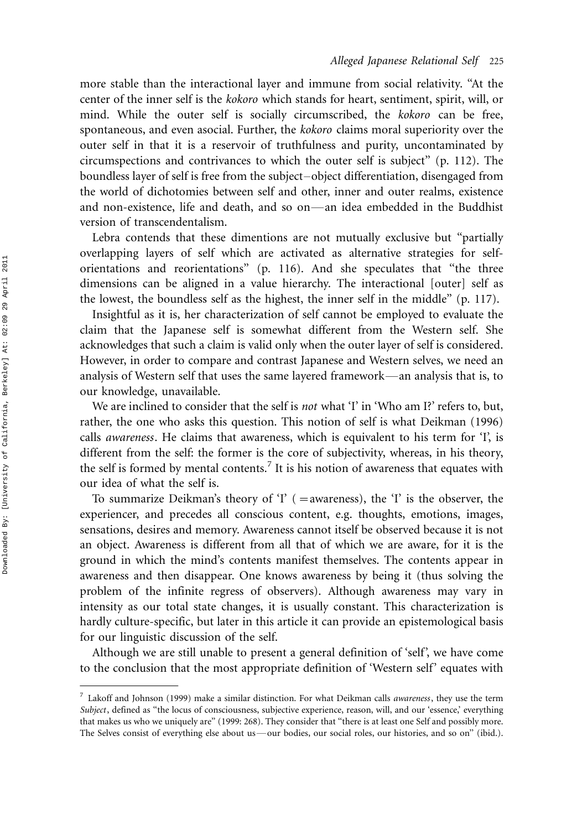more stable than the interactional layer and immune from social relativity. ''At the center of the inner self is the kokoro which stands for heart, sentiment, spirit, will, or mind. While the outer self is socially circumscribed, the kokoro can be free, spontaneous, and even asocial. Further, the kokoro claims moral superiority over the outer self in that it is a reservoir of truthfulness and purity, uncontaminated by circumspections and contrivances to which the outer self is subject'' (p. 112). The boundless layer of self is free from the subject–object differentiation, disengaged from the world of dichotomies between self and other, inner and outer realms, existence and non-existence, life and death, and so on—an idea embedded in the Buddhist version of transcendentalism.

Lebra contends that these dimentions are not mutually exclusive but ''partially overlapping layers of self which are activated as alternative strategies for selforientations and reorientations'' (p. 116). And she speculates that ''the three dimensions can be aligned in a value hierarchy. The interactional [outer] self as the lowest, the boundless self as the highest, the inner self in the middle'' (p. 117).

Insightful as it is, her characterization of self cannot be employed to evaluate the claim that the Japanese self is somewhat different from the Western self. She acknowledges that such a claim is valid only when the outer layer of self is considered. However, in order to compare and contrast Japanese and Western selves, we need an analysis of Western self that uses the same layered framework—an analysis that is, to our knowledge, unavailable.

We are inclined to consider that the self is *not* what 'I' in 'Who am I?' refers to, but, rather, the one who asks this question. This notion of self is what Deikman (1996) calls *awareness*. He claims that awareness, which is equivalent to his term for 'I', is different from the self: the former is the core of subjectivity, whereas, in his theory, the self is formed by mental contents.<sup>7</sup> It is his notion of awareness that equates with our idea of what the self is.

To summarize Deikman's theory of 'I' ( $=$ awareness), the 'I' is the observer, the experiencer, and precedes all conscious content, e.g. thoughts, emotions, images, sensations, desires and memory. Awareness cannot itself be observed because it is not an object. Awareness is different from all that of which we are aware, for it is the ground in which the mind's contents manifest themselves. The contents appear in awareness and then disappear. One knows awareness by being it (thus solving the problem of the infinite regress of observers). Although awareness may vary in intensity as our total state changes, it is usually constant. This characterization is hardly culture-specific, but later in this article it can provide an epistemological basis for our linguistic discussion of the self.

Although we are still unable to present a general definition of 'self', we have come to the conclusion that the most appropriate definition of 'Western self' equates with

 $<sup>7</sup>$  Lakoff and Johnson (1999) make a similar distinction. For what Deikman calls *awareness*, they use the term</sup> Subject, defined as "the locus of consciousness, subjective experience, reason, will, and our 'essence,' everything that makes us who we uniquely are'' (1999: 268). They consider that ''there is at least one Self and possibly more. The Selves consist of everything else about us-our bodies, our social roles, our histories, and so on" (ibid.).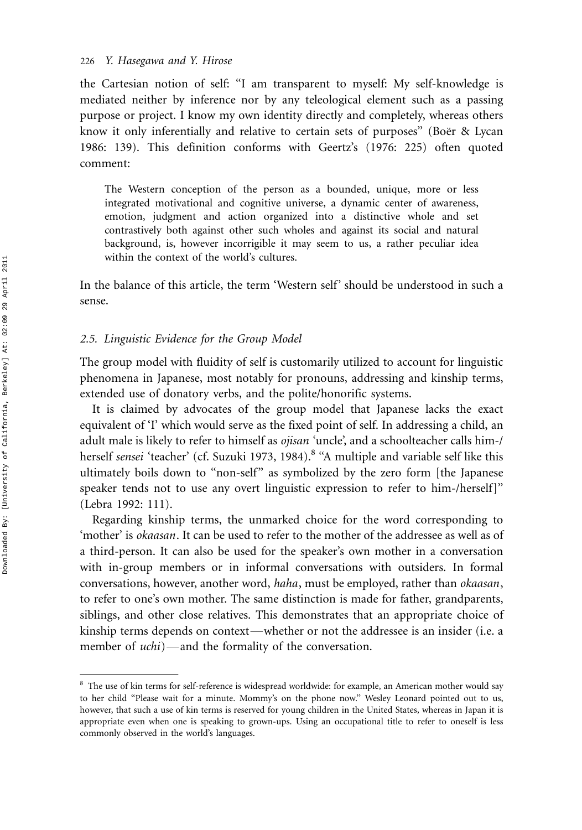the Cartesian notion of self: ''I am transparent to myself: My self-knowledge is mediated neither by inference nor by any teleological element such as a passing purpose or project. I know my own identity directly and completely, whereas others know it only inferentially and relative to certain sets of purposes" (Boër & Lycan 1986: 139). This definition conforms with Geertz's (1976: 225) often quoted comment:

The Western conception of the person as a bounded, unique, more or less integrated motivational and cognitive universe, a dynamic center of awareness, emotion, judgment and action organized into a distinctive whole and set contrastively both against other such wholes and against its social and natural background, is, however incorrigible it may seem to us, a rather peculiar idea within the context of the world's cultures.

In the balance of this article, the term 'Western self' should be understood in such a sense.

## 2.5. Linguistic Evidence for the Group Model

The group model with fluidity of self is customarily utilized to account for linguistic phenomena in Japanese, most notably for pronouns, addressing and kinship terms, extended use of donatory verbs, and the polite/honorific systems.

It is claimed by advocates of the group model that Japanese lacks the exact equivalent of 'I' which would serve as the fixed point of self. In addressing a child, an adult male is likely to refer to himself as ojisan 'uncle', and a schoolteacher calls him-/ herself sensei 'teacher' (cf. Suzuki 1973, 1984).<sup>8</sup> "A multiple and variable self like this ultimately boils down to ''non-self'' as symbolized by the zero form [the Japanese speaker tends not to use any overt linguistic expression to refer to him-/herself]'' (Lebra 1992: 111).

Regarding kinship terms, the unmarked choice for the word corresponding to 'mother' is okaasan. It can be used to refer to the mother of the addressee as well as of a third-person. It can also be used for the speaker's own mother in a conversation with in-group members or in informal conversations with outsiders. In formal conversations, however, another word, haha, must be employed, rather than okaasan, to refer to one's own mother. The same distinction is made for father, grandparents, siblings, and other close relatives. This demonstrates that an appropriate choice of kinship terms depends on context—whether or not the addressee is an insider (i.e. a member of  $uchi$ )—and the formality of the conversation.

<sup>&</sup>lt;sup>8</sup> The use of kin terms for self-reference is widespread worldwide: for example, an American mother would say to her child ''Please wait for a minute. Mommy's on the phone now.'' Wesley Leonard pointed out to us, however, that such a use of kin terms is reserved for young children in the United States, whereas in Japan it is appropriate even when one is speaking to grown-ups. Using an occupational title to refer to oneself is less commonly observed in the world's languages.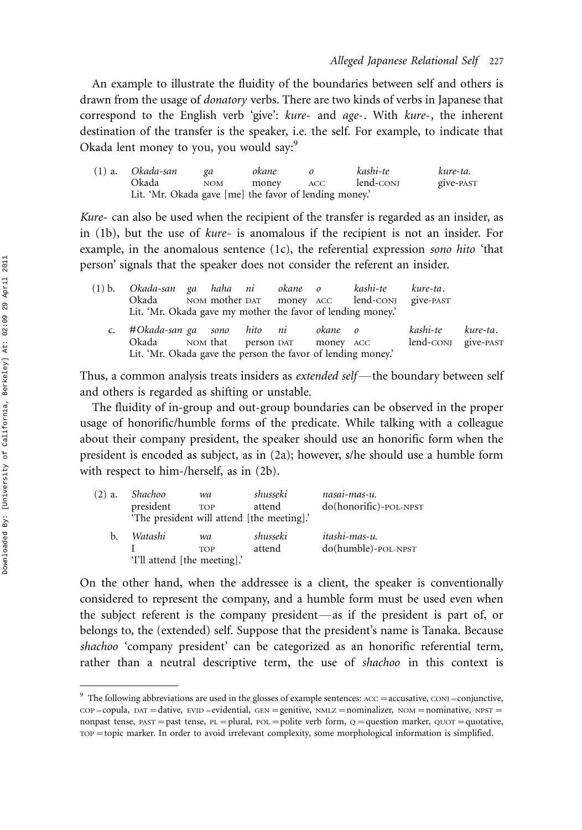An example to illustrate the fluidity of the boundaries between self and others is drawn from the usage of donatory verbs. There are two kinds of verbs in Japanese that correspond to the English verb 'give': kure- and age-. With kure-, the inherent destination of the transfer is the speaker, i.e. the self. For example, to indicate that Okada lent money to you, you would say:<sup>9</sup>

| $(1)$ a. | Okada-san                                              | ga         | okane |     | kashi-te  | kure-ta.  |
|----------|--------------------------------------------------------|------------|-------|-----|-----------|-----------|
|          | Okada                                                  | <b>NOM</b> | money | ACC | lend-cont | give-past |
|          | Lit. 'Mr. Okada gave [me] the favor of lending money.' |            |       |     |           |           |

Kure- can also be used when the recipient of the transfer is regarded as an insider, as in (1b), but the use of kure- is anomalous if the recipient is not an insider. For example, in the anomalous sentence (1c), the referential expression *sono hito* 'that person' signals that the speaker does not consider the referent an insider.

| (1)b. Okada-san ga haha ni  okane o  kashi-te<br>Okada                                       |  |                     |  |  |           | NOM mother DAT money ACC lend-CONJ give-PAST | kure-ta.            |  |  |
|----------------------------------------------------------------------------------------------|--|---------------------|--|--|-----------|----------------------------------------------|---------------------|--|--|
| Lit. 'Mr. Okada gave my mother the favor of lending money.'<br>c. #Okada-san_ga sono hito ni |  |                     |  |  | okane o   |                                              | kashi-te kure-ta.   |  |  |
| Okada                                                                                        |  | NOM that person DAT |  |  | money ACC |                                              | lend-conj give-past |  |  |
| Lit. 'Mr. Okada gave the person the favor of lending money.'                                 |  |                     |  |  |           |                                              |                     |  |  |

Thus, a common analysis treats insiders as *extended self*—the boundary between self and others is regarded as shifting or unstable.

The fluidity of in-group and out-group boundaries can be observed in the proper usage of honorific/humble forms of the predicate. While talking with a colleague about their company president, the speaker should use an honorific form when the president is encoded as subject, as in (2a); however, s/he should use a humble form with respect to him-/herself, as in (2b).

| $(2)$ a. | Shachoo<br>president                   | wa<br><b>TOP</b>                     | shusseki<br>attend<br>The president will attend [the meeting]. | nasai-mas-u.<br>do(honorific)-POL-NPST |
|----------|----------------------------------------|--------------------------------------|----------------------------------------------------------------|----------------------------------------|
| b.       | Watashi<br>T'll attend [the meeting].' | itashi-mas-u.<br>do(humble)-POL-NPST |                                                                |                                        |

On the other hand, when the addressee is a client, the speaker is conventionally considered to represent the company, and a humble form must be used even when the subject referent is the company president\*/as if the president is part of, or belongs to, the (extended) self. Suppose that the president's name is Tanaka. Because shachoo 'company president' can be categorized as an honorific referential term, rather than a neutral descriptive term, the use of *shachoo* in this context is

 $9$  The following abbreviations are used in the glosses of example sentences:  $ACC = accusative$ ,  $CONJ = conjunctive$ ,  $COP = copula$ ,  $DATA = dative$ ,  $EVID = evidential$ ,  $GEN = genitive$ ,  $NML = nominalizer$ ,  $NOM = nominative$ ,  $NPST =$ nonpast tense, PAST = past tense, PL = plural, POL = polite verb form,  $Q =$  question marker,  $QUOT =$  quotative, TOP = topic marker. In order to avoid irrelevant complexity, some morphological information is simplified.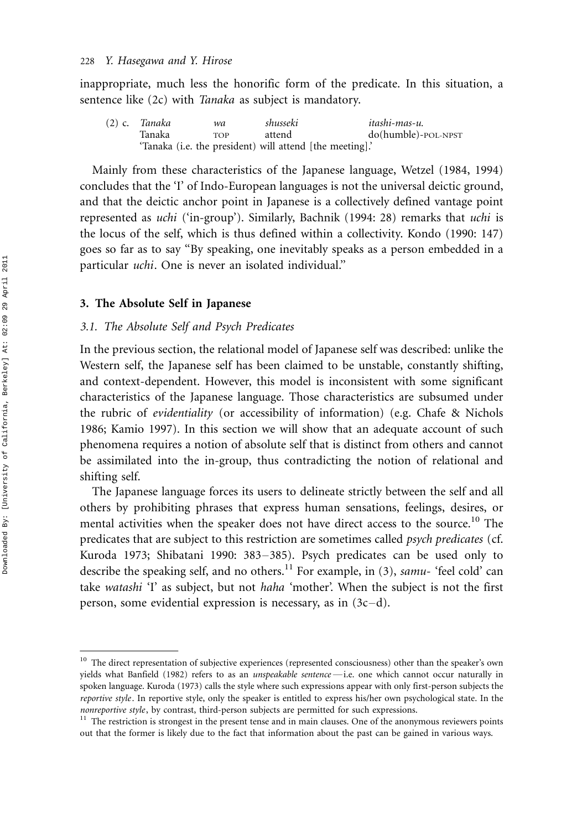inappropriate, much less the honorific form of the predicate. In this situation, a sentence like (2c) with *Tanaka* as subject is mandatory.

(2) c. Tanaka wa shusseki itashi-mas-u. Tanaka TOP attend do(humble)-POL-NPST 'Tanaka (i.e. the president) will attend [the meeting].'

Mainly from these characteristics of the Japanese language, Wetzel (1984, 1994) concludes that the 'I' of Indo-European languages is not the universal deictic ground, and that the deictic anchor point in Japanese is a collectively defined vantage point represented as uchi ('in-group'). Similarly, Bachnik (1994: 28) remarks that uchi is the locus of the self, which is thus defined within a collectivity. Kondo (1990: 147) goes so far as to say ''By speaking, one inevitably speaks as a person embedded in a particular uchi. One is never an isolated individual.''

## 3. The Absolute Self in Japanese

## 3.1. The Absolute Self and Psych Predicates

In the previous section, the relational model of Japanese self was described: unlike the Western self, the Japanese self has been claimed to be unstable, constantly shifting, and context-dependent. However, this model is inconsistent with some significant characteristics of the Japanese language. Those characteristics are subsumed under the rubric of evidentiality (or accessibility of information) (e.g. Chafe & Nichols 1986; Kamio 1997). In this section we will show that an adequate account of such phenomena requires a notion of absolute self that is distinct from others and cannot be assimilated into the in-group, thus contradicting the notion of relational and shifting self.

The Japanese language forces its users to delineate strictly between the self and all others by prohibiting phrases that express human sensations, feelings, desires, or mental activities when the speaker does not have direct access to the source.<sup>10</sup> The predicates that are subject to this restriction are sometimes called psych predicates (cf. Kuroda 1973; Shibatani 1990: 383–385). Psych predicates can be used only to describe the speaking self, and no others.<sup>11</sup> For example, in (3), samu- 'feel cold' can take *watashi* 'I' as subject, but not *haha* 'mother'. When the subject is not the first person, some evidential expression is necessary, as in  $(3c-d)$ .

<sup>&</sup>lt;sup>10</sup> The direct representation of subjective experiences (represented consciousness) other than the speaker's own yields what Banfield (1982) refers to as an *unspeakable sentence*  $-$ i.e. one which cannot occur naturally in spoken language. Kuroda (1973) calls the style where such expressions appear with only first-person subjects the reportive style. In reportive style, only the speaker is entitled to express his/her own psychological state. In the

nonreportive style, by contrast, third-person subjects are permitted for such expressions.<br><sup>11</sup> The restriction is strongest in the present tense and in main clauses. One of the anonymous reviewers points out that the former is likely due to the fact that information about the past can be gained in various ways.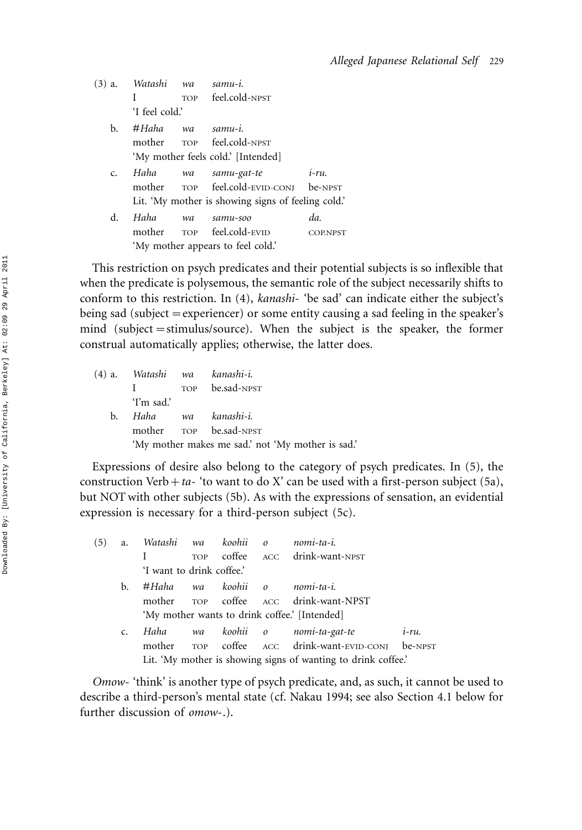| $(3)$ a. | Watashi                                            | <i>wa</i> | samu-i.                         |          |  |  |  |  |
|----------|----------------------------------------------------|-----------|---------------------------------|----------|--|--|--|--|
|          | I                                                  | TOP       | feel.cold-NPST                  |          |  |  |  |  |
|          | 'I feel cold.'                                     |           |                                 |          |  |  |  |  |
| b.       | #Haha                                              | wa        | samu-i.                         |          |  |  |  |  |
|          |                                                    |           | mother TOP feel.cold-NPST       |          |  |  |  |  |
|          | 'My mother feels cold.' [Intended]                 |           |                                 |          |  |  |  |  |
| C.       | Haha                                               |           | wa samu-gat-te                  | $i$ -ru. |  |  |  |  |
|          | mother                                             |           | TOP feel.cold-EVID-CONI be-NPST |          |  |  |  |  |
|          | Lit. 'My mother is showing signs of feeling cold.' |           |                                 |          |  |  |  |  |
| d.       | Haha                                               | wa        | samu-soo                        | da.      |  |  |  |  |
|          | mother                                             |           | TOP feel.cold-EVID              | COP.NPST |  |  |  |  |
|          | 'My mother appears to feel cold.'                  |           |                                 |          |  |  |  |  |

This restriction on psych predicates and their potential subjects is so inflexible that when the predicate is polysemous, the semantic role of the subject necessarily shifts to conform to this restriction. In (4), kanashi- 'be sad' can indicate either the subject's being sad (subject  $=$  experiencer) or some entity causing a sad feeling in the speaker's mind (subject  $=$  stimulus/source). When the subject is the speaker, the former construal automatically applies; otherwise, the latter does.

|    |                                                   |  | (4) a. Watashi wa kanashi-i. |  |  |  |
|----|---------------------------------------------------|--|------------------------------|--|--|--|
|    |                                                   |  | TOP be.sad-NPST              |  |  |  |
|    | 'I'm sad.'                                        |  |                              |  |  |  |
| b. | Haha wa kanashi-i.                                |  |                              |  |  |  |
|    |                                                   |  | mother TOP be.sad-NPST       |  |  |  |
|    | 'My mother makes me sad.' not 'My mother is sad.' |  |                              |  |  |  |

Expressions of desire also belong to the category of psych predicates. In (5), the construction Verb +  $ta$ - 'to want to do X' can be used with a first-person subject (5a), but NOT with other subjects (5b). As with the expressions of sensation, an evidential expression is necessary for a third-person subject (5c).

| (5) | a.          |                                                               |  |  |  | Watashi wa koohii o nomi-ta-i.                |          |  |  |  |
|-----|-------------|---------------------------------------------------------------|--|--|--|-----------------------------------------------|----------|--|--|--|
|     |             | I                                                             |  |  |  | TOP coffee ACC drink-want-NPST                |          |  |  |  |
|     |             | 'I want to drink coffee.'                                     |  |  |  |                                               |          |  |  |  |
|     | b.          | #Haha                                                         |  |  |  | wa koohii o nomi-ta-i.                        |          |  |  |  |
|     |             | mother                                                        |  |  |  | TOP coffee ACC drink-want-NPST                |          |  |  |  |
|     |             |                                                               |  |  |  | 'My mother wants to drink coffee.' [Intended] |          |  |  |  |
|     | $C_{\star}$ | Haha                                                          |  |  |  | wa koohii o nomi-ta-gat-te                    | $i$ -ru. |  |  |  |
|     |             | mother                                                        |  |  |  | TOP coffee ACC drink-want-EVID-CONJ be-NPST   |          |  |  |  |
|     |             | Lit. 'My mother is showing signs of wanting to drink coffee.' |  |  |  |                                               |          |  |  |  |

Omow- 'think' is another type of psych predicate, and, as such, it cannot be used to describe a third-person's mental state (cf. Nakau 1994; see also Section 4.1 below for further discussion of omow-.).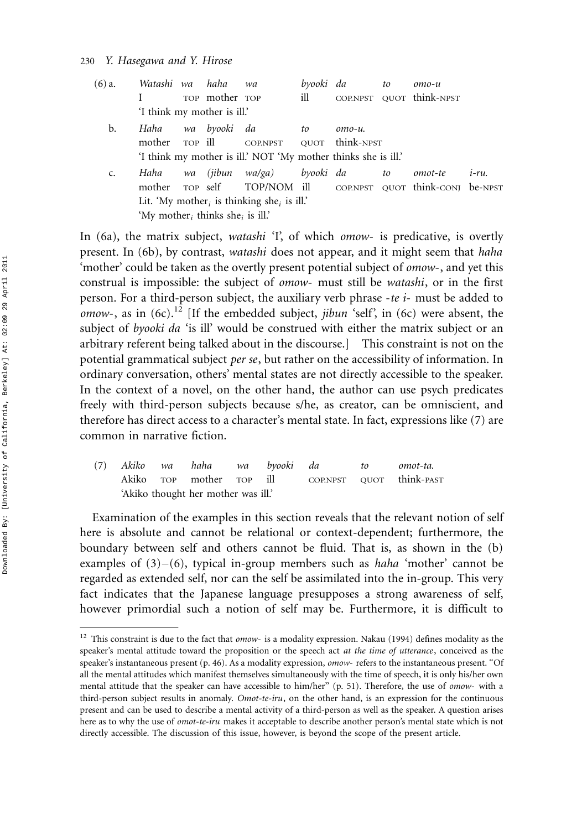## 230 Y. Hasegawa and Y. Hirose

| $(6)$ a. | Watashi wa haha             |                                                          |                | wa                                                             |     | byooki da to    |    | $omo-u$                  |          |  |  |
|----------|-----------------------------|----------------------------------------------------------|----------------|----------------------------------------------------------------|-----|-----------------|----|--------------------------|----------|--|--|
|          |                             |                                                          | TOP mother TOP |                                                                | ill |                 |    | COP.NPST QUOT think-NPST |          |  |  |
|          | 'I think my mother is ill.' |                                                          |                |                                                                |     |                 |    |                          |          |  |  |
| b.       | Haha                        |                                                          | wa byooki da   |                                                                | to  | $omo-u.$        |    |                          |          |  |  |
|          | mother                      |                                                          |                | TOP ill COP.NPST                                               |     | QUOT think-NPST |    |                          |          |  |  |
|          |                             |                                                          |                | 'I think my mother is ill.' NOT 'My mother thinks she is ill.' |     |                 |    |                          |          |  |  |
| c.       | Haha                        |                                                          |                | wa (jibun wa/ga) byooki da                                     |     |                 | to | omot-te                  | $i$ -ru. |  |  |
|          | mother                      |                                                          |                | TOP self TOP/NOM ill cop.npst quot think-conj be-NPST          |     |                 |    |                          |          |  |  |
|          |                             |                                                          |                | Lit. 'My mother, is thinking she, is ill.'                     |     |                 |    |                          |          |  |  |
|          |                             | 'My mother <sub>i</sub> thinks she <sub>i</sub> is ill.' |                |                                                                |     |                 |    |                          |          |  |  |
|          |                             |                                                          |                |                                                                |     |                 |    |                          |          |  |  |

In  $(6a)$ , the matrix subject, *watashi* 'I', of which *omow*- is predicative, is overtly present. In (6b), by contrast, watashi does not appear, and it might seem that haha 'mother' could be taken as the overtly present potential subject of omow-, and yet this construal is impossible: the subject of omow- must still be watashi, or in the first person. For a third-person subject, the auxiliary verb phrase -te i- must be added to *omow*-, as in  $(6c)$ .<sup>12</sup> [If the embedded subject, *jibun* 'self', in  $(6c)$  were absent, the subject of *byooki da* 'is ill' would be construed with either the matrix subject or an arbitrary referent being talked about in the discourse.] This constraint is not on the potential grammatical subject per se, but rather on the accessibility of information. In ordinary conversation, others' mental states are not directly accessible to the speaker. In the context of a novel, on the other hand, the author can use psych predicates freely with third-person subjects because s/he, as creator, can be omniscient, and therefore has direct access to a character's mental state. In fact, expressions like (7) are common in narrative fiction.

|  | (7) Akiko wa haha wa byooki da      |  | to | omot-ta.                                          |
|--|-------------------------------------|--|----|---------------------------------------------------|
|  |                                     |  |    | Akiko TOP mother TOP ill COP.NPST QUOT think-PAST |
|  | 'Akiko thought her mother was ill.' |  |    |                                                   |

Examination of the examples in this section reveals that the relevant notion of self here is absolute and cannot be relational or context-dependent; furthermore, the boundary between self and others cannot be fluid. That is, as shown in the (b) examples of  $(3)$ – $(6)$ , typical in-group members such as *haha* 'mother' cannot be regarded as extended self, nor can the self be assimilated into the in-group. This very fact indicates that the Japanese language presupposes a strong awareness of self, however primordial such a notion of self may be. Furthermore, it is difficult to

<sup>&</sup>lt;sup>12</sup> This constraint is due to the fact that *omow*- is a modality expression. Nakau (1994) defines modality as the speaker's mental attitude toward the proposition or the speech act at the time of utterance, conceived as the speaker's instantaneous present (p. 46). As a modality expression, omow- refers to the instantaneous present. "Of all the mental attitudes which manifest themselves simultaneously with the time of speech, it is only his/her own mental attitude that the speaker can have accessible to him/her" (p. 51). Therefore, the use of omow- with a third-person subject results in anomaly. Omot-te-iru, on the other hand, is an expression for the continuous present and can be used to describe a mental activity of a third-person as well as the speaker. A question arises here as to why the use of *omot-te-iru* makes it acceptable to describe another person's mental state which is not directly accessible. The discussion of this issue, however, is beyond the scope of the present article.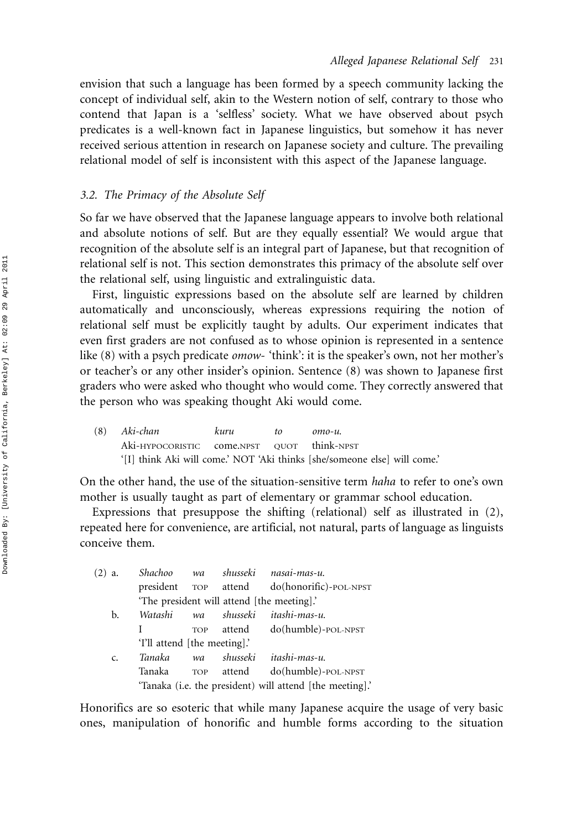envision that such a language has been formed by a speech community lacking the concept of individual self, akin to the Western notion of self, contrary to those who contend that Japan is a 'selfless' society. What we have observed about psych predicates is a well-known fact in Japanese linguistics, but somehow it has never received serious attention in research on Japanese society and culture. The prevailing relational model of self is inconsistent with this aspect of the Japanese language.

## 3.2. The Primacy of the Absolute Self

So far we have observed that the Japanese language appears to involve both relational and absolute notions of self. But are they equally essential? We would argue that recognition of the absolute self is an integral part of Japanese, but that recognition of relational self is not. This section demonstrates this primacy of the absolute self over the relational self, using linguistic and extralinguistic data.

First, linguistic expressions based on the absolute self are learned by children automatically and unconsciously, whereas expressions requiring the notion of relational self must be explicitly taught by adults. Our experiment indicates that even first graders are not confused as to whose opinion is represented in a sentence like (8) with a psych predicate *omow*- 'think': it is the speaker's own, not her mother's or teacher's or any other insider's opinion. Sentence (8) was shown to Japanese first graders who were asked who thought who would come. They correctly answered that the person who was speaking thought Aki would come.

| (8) Aki-chan                               | kuru | tο | ото-и.                                                                    |  |
|--------------------------------------------|------|----|---------------------------------------------------------------------------|--|
| Aki-HYPOCORISTIC come.NPST QUOT think-NPST |      |    |                                                                           |  |
|                                            |      |    | '[I] think Aki will come.' NOT 'Aki thinks [she/someone else] will come.' |  |

On the other hand, the use of the situation-sensitive term haha to refer to one's own mother is usually taught as part of elementary or grammar school education.

Expressions that presuppose the shifting (relational) self as illustrated in (2), repeated here for convenience, are artificial, not natural, parts of language as linguists conceive them.

| $(2)$ a.                                                 | Shachoo                    |            |            | wa shusseki nasai-mas-u.                   |  |  |  |
|----------------------------------------------------------|----------------------------|------------|------------|--------------------------------------------|--|--|--|
|                                                          | president                  |            | TOP attend | do(honorific)-POL-NPST                     |  |  |  |
|                                                          |                            |            |            | 'The president will attend [the meeting].' |  |  |  |
| b.                                                       | Watashi                    | wa         | shusseki   | itashi-mas-u.                              |  |  |  |
|                                                          |                            | TOP        | attend     | do(humble)-POL-NPST                        |  |  |  |
|                                                          | T'll attend [the meeting]. |            |            |                                            |  |  |  |
| c.                                                       | Tanaka                     | wa         |            | shusseki itashi-mas-u.                     |  |  |  |
|                                                          | Tanaka                     | <b>TOP</b> | attend     | do(humble)-POL-NPST                        |  |  |  |
| 'Tanaka (i.e. the president) will attend [the meeting].' |                            |            |            |                                            |  |  |  |

Honorifics are so esoteric that while many Japanese acquire the usage of very basic ones, manipulation of honorific and humble forms according to the situation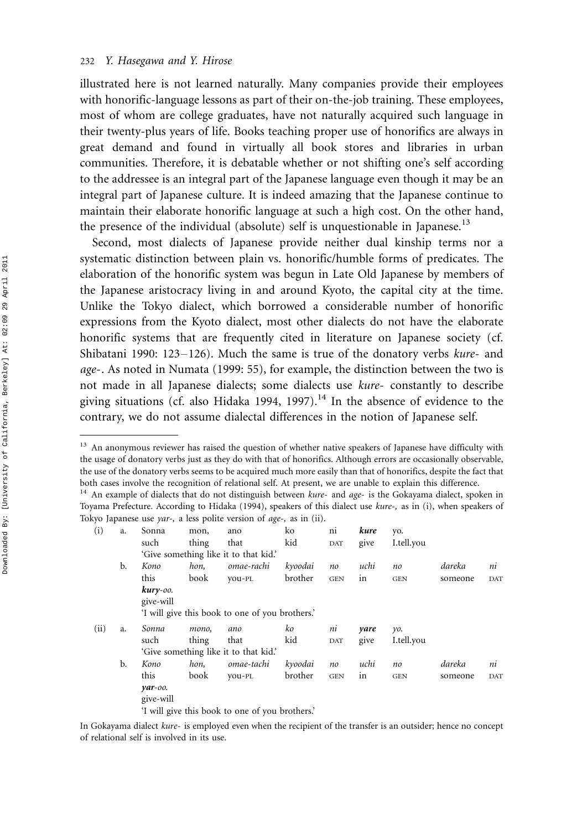illustrated here is not learned naturally. Many companies provide their employees with honorific-language lessons as part of their on-the-job training. These employees, most of whom are college graduates, have not naturally acquired such language in their twenty-plus years of life. Books teaching proper use of honorifics are always in great demand and found in virtually all book stores and libraries in urban communities. Therefore, it is debatable whether or not shifting one's self according to the addressee is an integral part of the Japanese language even though it may be an integral part of Japanese culture. It is indeed amazing that the Japanese continue to maintain their elaborate honorific language at such a high cost. On the other hand, the presence of the individual (absolute) self is unquestionable in Japanese.<sup>13</sup>

Second, most dialects of Japanese provide neither dual kinship terms nor a systematic distinction between plain vs. honorific/humble forms of predicates. The elaboration of the honorific system was begun in Late Old Japanese by members of the Japanese aristocracy living in and around Kyoto, the capital city at the time. Unlike the Tokyo dialect, which borrowed a considerable number of honorific expressions from the Kyoto dialect, most other dialects do not have the elaborate honorific systems that are frequently cited in literature on Japanese society (cf. Shibatani 1990: 123-126). Much the same is true of the donatory verbs kure- and age-. As noted in Numata (1999: 55), for example, the distinction between the two is not made in all Japanese dialects; some dialects use kure- constantly to describe giving situations (cf. also Hidaka 1994, 1997).<sup>14</sup> In the absence of evidence to the contrary, we do not assume dialectal differences in the notion of Japanese self.

<sup>&</sup>lt;sup>14</sup> An example of dialects that do not distinguish between kure- and age- is the Gokayama dialect, spoken in Toyama Prefecture. According to Hidaka (1994), speakers of this dialect use kure-, as in (i), when speakers of Tokyo Japanese use yar-, a less polite version of age-, as in (ii).

| (i)  | a. | Sonna           | mon,  | ano                                             | ko      | ni         | kure | yo.        |         |            |
|------|----|-----------------|-------|-------------------------------------------------|---------|------------|------|------------|---------|------------|
|      |    | such            | thing | that                                            | kid     | DAT        | give | I.tell.you |         |            |
|      |    |                 |       | 'Give something like it to that kid.'           |         |            |      |            |         |            |
|      | b. | Kono            | hon,  | omae-rachi                                      | kvoodai | no         | uchi | no         | dareka  | ni         |
|      |    | this            | book  | VOU-PL                                          | brother | <b>GEN</b> | in   | <b>GEN</b> | someone | <b>DAT</b> |
|      |    | $kury$ -00.     |       |                                                 |         |            |      |            |         |            |
|      |    | give-will       |       |                                                 |         |            |      |            |         |            |
|      |    |                 |       | 'I will give this book to one of you brothers.' |         |            |      |            |         |            |
| (ii) | a. | Sonna           | mono, | ano                                             | ko      | ni         | vare | yo.        |         |            |
|      |    | such            | thing | that                                            | kid     | DAT        | give | I.tell.you |         |            |
|      |    |                 |       | 'Give something like it to that kid.'           |         |            |      |            |         |            |
|      | b. | Kono            | hon,  | omae-tachi                                      | kvoodai | no         | uchi | no         | dareka  | ni         |
|      |    | this            | book  | VOU-PL                                          | brother | <b>GEN</b> | in   | <b>GEN</b> | someone | DAT        |
|      |    | $\gamma$ ar-oo. |       |                                                 |         |            |      |            |         |            |
|      |    | give-will       |       |                                                 |         |            |      |            |         |            |
|      |    |                 |       | 'I will give this book to one of you brothers.' |         |            |      |            |         |            |

In Gokayama dialect kure- is employed even when the recipient of the transfer is an outsider; hence no concept of relational self is involved in its use.

<sup>&</sup>lt;sup>13</sup> An anonymous reviewer has raised the question of whether native speakers of Japanese have difficulty with the usage of donatory verbs just as they do with that of honorifics. Although errors are occasionally observable, the use of the donatory verbs seems to be acquired much more easily than that of honorifics, despite the fact that both cases involve the recognition of relational self. At present, we are unable to explain this difference.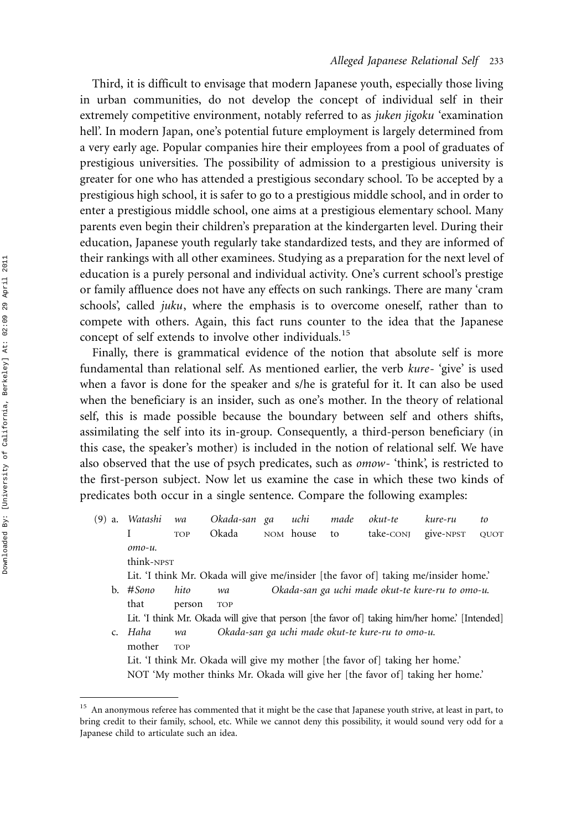Third, it is difficult to envisage that modern Japanese youth, especially those living in urban communities, do not develop the concept of individual self in their extremely competitive environment, notably referred to as *juken jigoku* 'examination hell'. In modern Japan, one's potential future employment is largely determined from a very early age. Popular companies hire their employees from a pool of graduates of prestigious universities. The possibility of admission to a prestigious university is greater for one who has attended a prestigious secondary school. To be accepted by a prestigious high school, it is safer to go to a prestigious middle school, and in order to enter a prestigious middle school, one aims at a prestigious elementary school. Many parents even begin their children's preparation at the kindergarten level. During their education, Japanese youth regularly take standardized tests, and they are informed of their rankings with all other examinees. Studying as a preparation for the next level of education is a purely personal and individual activity. One's current school's prestige or family affluence does not have any effects on such rankings. There are many 'cram schools', called juku, where the emphasis is to overcome oneself, rather than to compete with others. Again, this fact runs counter to the idea that the Japanese concept of self extends to involve other individuals.<sup>15</sup>

Finally, there is grammatical evidence of the notion that absolute self is more fundamental than relational self. As mentioned earlier, the verb kure- 'give' is used when a favor is done for the speaker and s/he is grateful for it. It can also be used when the beneficiary is an insider, such as one's mother. In the theory of relational self, this is made possible because the boundary between self and others shifts, assimilating the self into its in-group. Consequently, a third-person beneficiary (in this case, the speaker's mother) is included in the notion of relational self. We have also observed that the use of psych predicates, such as omow- 'think', is restricted to the first-person subject. Now let us examine the case in which these two kinds of predicates both occur in a single sentence. Compare the following examples:

- (9) a. Watashi wa Okada-san ga uchi made okut-te kure-ru to I TOP Okada NOM house to take-CONJ give-NPST QUOT omo-u. think-NPST Lit. 'I think Mr. Okada will give me/insider [the favor of] taking me/insider home.'
	- b. #Sono hito wa Okada-san ga uchi made okut-te kure-ru to omo-u. that person TOP

c. Haha wa Okada-san ga uchi made okut-te kure-ru to omo-u. mother TOP

Lit. 'I think Mr. Okada will give my mother [the favor of] taking her home.' NOT 'My mother thinks Mr. Okada will give her [the favor of] taking her home.'

Lit. 'I think Mr. Okada will give that person [the favor of] taking him/her home.' [Intended]

<sup>&</sup>lt;sup>15</sup> An anonymous referee has commented that it might be the case that Japanese youth strive, at least in part, to bring credit to their family, school, etc. While we cannot deny this possibility, it would sound very odd for a Japanese child to articulate such an idea.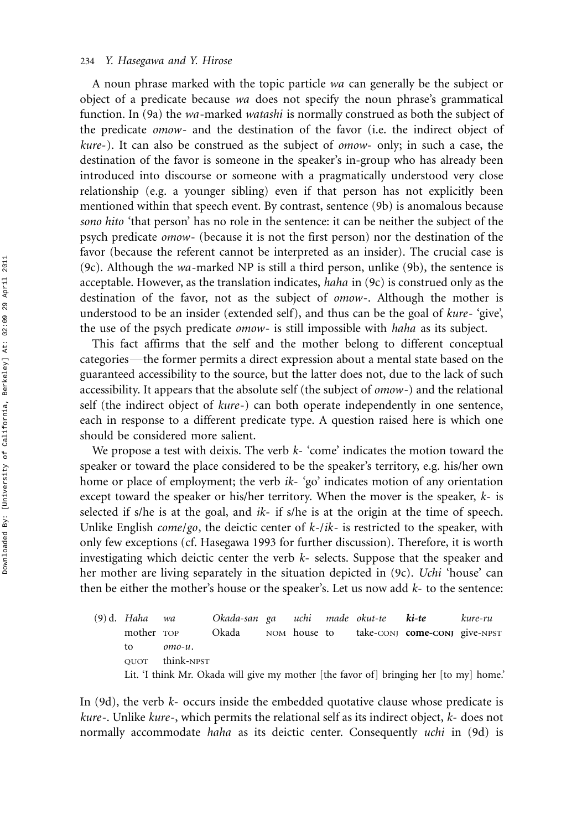## 234 Y. Hasegawa and Y. Hirose

A noun phrase marked with the topic particle wa can generally be the subject or object of a predicate because wa does not specify the noun phrase's grammatical function. In (9a) the wa-marked watashi is normally construed as both the subject of the predicate omow- and the destination of the favor (i.e. the indirect object of  $kure$ -). It can also be construed as the subject of *omow*- only; in such a case, the destination of the favor is someone in the speaker's in-group who has already been introduced into discourse or someone with a pragmatically understood very close relationship (e.g. a younger sibling) even if that person has not explicitly been mentioned within that speech event. By contrast, sentence (9b) is anomalous because sono hito 'that person' has no role in the sentence: it can be neither the subject of the psych predicate omow- (because it is not the first person) nor the destination of the favor (because the referent cannot be interpreted as an insider). The crucial case is (9c). Although the *wa*-marked NP is still a third person, unlike (9b), the sentence is acceptable. However, as the translation indicates, *haha* in  $(9c)$  is construed only as the destination of the favor, not as the subject of omow-. Although the mother is understood to be an insider (extended self), and thus can be the goal of kure- 'give', the use of the psych predicate omow- is still impossible with haha as its subject.

This fact affirms that the self and the mother belong to different conceptual categories\*/the former permits a direct expression about a mental state based on the guaranteed accessibility to the source, but the latter does not, due to the lack of such accessibility. It appears that the absolute self (the subject of omow-) and the relational self (the indirect object of kure-) can both operate independently in one sentence, each in response to a different predicate type. A question raised here is which one should be considered more salient.

We propose a test with deixis. The verb  $k$ - 'come' indicates the motion toward the speaker or toward the place considered to be the speaker's territory, e.g. his/her own home or place of employment; the verb  $ik$ - 'go' indicates motion of any orientation except toward the speaker or his/her territory. When the mover is the speaker,  $k$ - is selected if s/he is at the goal, and ik- if s/he is at the origin at the time of speech. Unlike English *come/go*, the deictic center of  $k - / i k$ - is restricted to the speaker, with only few exceptions (cf. Hasegawa 1993 for further discussion). Therefore, it is worth investigating which deictic center the verb  $k$ - selects. Suppose that the speaker and her mother are living separately in the situation depicted in (9c). Uchi 'house' can then be either the mother's house or the speaker's. Let us now add  $k$ - to the sentence:

(9) d. Haha wa Okada-san ga uchi made okut-te ki-te kure-ru mother TOP Okada NOM house to take-CONJ **come-CONJ** give-NPST to omo-u. QUOT think-NPST Lit. 'I think Mr. Okada will give my mother [the favor of] bringing her [to my] home.'

In (9d), the verb k- occurs inside the embedded quotative clause whose predicate is kure-. Unlike kure-, which permits the relational self as its indirect object, k- does not normally accommodate *haha* as its deictic center. Consequently *uchi* in (9d) is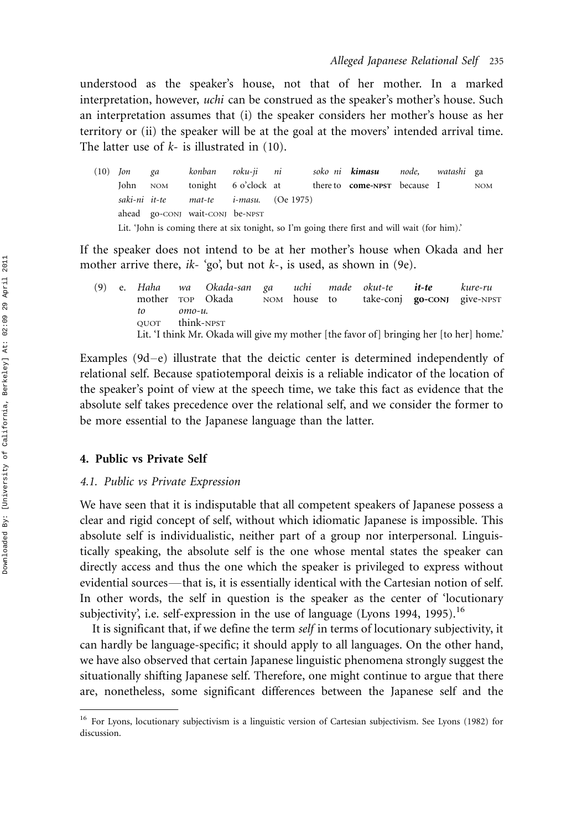understood as the speaker's house, not that of her mother. In a marked interpretation, however, *uchi* can be construed as the speaker's mother's house. Such an interpretation assumes that (i) the speaker considers her mother's house as her territory or (ii) the speaker will be at the goal at the movers' intended arrival time. The latter use of  $k$ - is illustrated in (10).

(10) Jon ga konban roku-ji ni soko ni kimasu node, watashi ga John NOM tonight 6 o'clock at there to **come-NPST** because I NOM saki-ni it-te mat-te i-masu. (Oe 1975) ahead go-CONJ wait-CONJ be-NPST Lit. 'John is coming there at six tonight, so I'm going there first and will wait (for him).'

If the speaker does not intend to be at her mother's house when Okada and her mother arrive there,  $ik-$  'go', but not  $k-$ , is used, as shown in (9e).

(9) e. Haha wa Okada-san ga uchi made okut-te it-te kure-ru mother TOP Okada NOM house to take-conj go-CONJ give-NPST to omo-u. QUOT think-NPST Lit. 'I think Mr. Okada will give my mother [the favor of] bringing her [to her] home.'

Examples (9d-e) illustrate that the deictic center is determined independently of relational self. Because spatiotemporal deixis is a reliable indicator of the location of the speaker's point of view at the speech time, we take this fact as evidence that the absolute self takes precedence over the relational self, and we consider the former to be more essential to the Japanese language than the latter.

## 4. Public vs Private Self

## 4.1. Public vs Private Expression

We have seen that it is indisputable that all competent speakers of Japanese possess a clear and rigid concept of self, without which idiomatic Japanese is impossible. This absolute self is individualistic, neither part of a group nor interpersonal. Linguistically speaking, the absolute self is the one whose mental states the speaker can directly access and thus the one which the speaker is privileged to express without evidential sources—that is, it is essentially identical with the Cartesian notion of self. In other words, the self in question is the speaker as the center of 'locutionary subjectivity', i.e. self-expression in the use of language (Lyons 1994, 1995).<sup>16</sup>

It is significant that, if we define the term self in terms of locutionary subjectivity, it can hardly be language-specific; it should apply to all languages. On the other hand, we have also observed that certain Japanese linguistic phenomena strongly suggest the situationally shifting Japanese self. Therefore, one might continue to argue that there are, nonetheless, some significant differences between the Japanese self and the

<sup>&</sup>lt;sup>16</sup> For Lyons, locutionary subjectivism is a linguistic version of Cartesian subjectivism. See Lyons (1982) for discussion.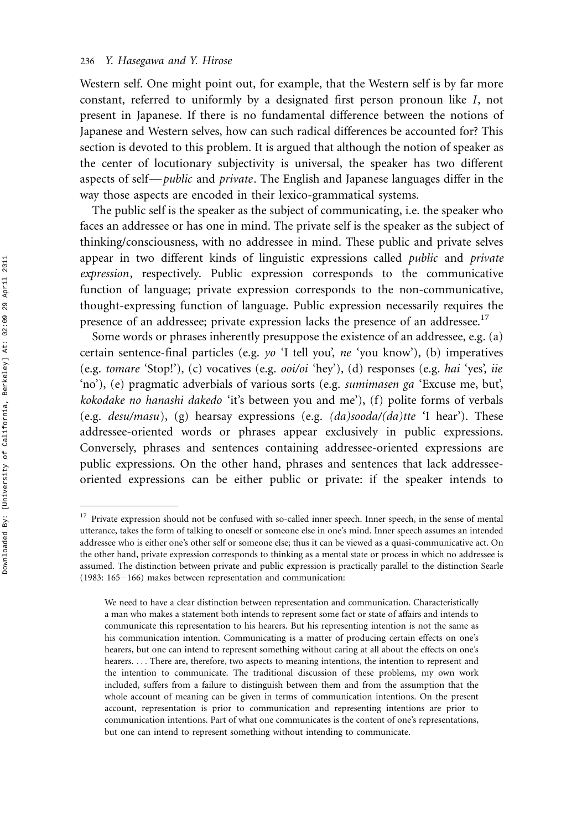Western self. One might point out, for example, that the Western self is by far more constant, referred to uniformly by a designated first person pronoun like I, not present in Japanese. If there is no fundamental difference between the notions of Japanese and Western selves, how can such radical differences be accounted for? This section is devoted to this problem. It is argued that although the notion of speaker as the center of locutionary subjectivity is universal, the speaker has two different aspects of self— $pubit$  and private. The English and Japanese languages differ in the way those aspects are encoded in their lexico-grammatical systems.

The public self is the speaker as the subject of communicating, i.e. the speaker who faces an addressee or has one in mind. The private self is the speaker as the subject of thinking/consciousness, with no addressee in mind. These public and private selves appear in two different kinds of linguistic expressions called public and private expression, respectively. Public expression corresponds to the communicative function of language; private expression corresponds to the non-communicative, thought-expressing function of language. Public expression necessarily requires the presence of an addressee; private expression lacks the presence of an addressee.<sup>17</sup>

Some words or phrases inherently presuppose the existence of an addressee, e.g. (a) certain sentence-final particles (e.g.  $yo$  'I tell you', ne 'you know'), (b) imperatives (e.g. tomare 'Stop!'), (c) vocatives (e.g. ooi/oi 'hey'), (d) responses (e.g. hai 'yes', iie 'no'), (e) pragmatic adverbials of various sorts (e.g. sumimasen ga 'Excuse me, but', kokodake no hanashi dakedo 'it's between you and me'), (f) polite forms of verbals (e.g. desu/masu), (g) hearsay expressions (e.g.  $(da)$ sooda/ $(da)$ tte 'I hear'). These addressee-oriented words or phrases appear exclusively in public expressions. Conversely, phrases and sentences containing addressee-oriented expressions are public expressions. On the other hand, phrases and sentences that lack addresseeoriented expressions can be either public or private: if the speaker intends to

<sup>&</sup>lt;sup>17</sup> Private expression should not be confused with so-called inner speech. Inner speech, in the sense of mental utterance, takes the form of talking to oneself or someone else in one's mind. Inner speech assumes an intended addressee who is either one's other self or someone else; thus it can be viewed as a quasi-communicative act. On the other hand, private expression corresponds to thinking as a mental state or process in which no addressee is assumed. The distinction between private and public expression is practically parallel to the distinction Searle (1983: 165-/166) makes between representation and communication:

We need to have a clear distinction between representation and communication. Characteristically a man who makes a statement both intends to represent some fact or state of affairs and intends to communicate this representation to his hearers. But his representing intention is not the same as his communication intention. Communicating is a matter of producing certain effects on one's hearers, but one can intend to represent something without caring at all about the effects on one's hearers. ... There are, therefore, two aspects to meaning intentions, the intention to represent and the intention to communicate. The traditional discussion of these problems, my own work included, suffers from a failure to distinguish between them and from the assumption that the whole account of meaning can be given in terms of communication intentions. On the present account, representation is prior to communication and representing intentions are prior to communication intentions. Part of what one communicates is the content of one's representations, but one can intend to represent something without intending to communicate.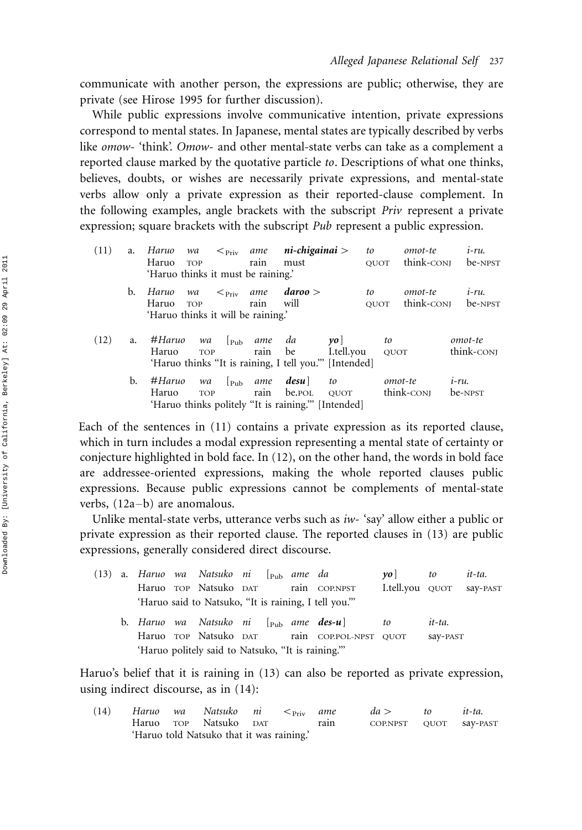communicate with another person, the expressions are public; otherwise, they are private (see Hirose 1995 for further discussion).

While public expressions involve communicative intention, private expressions correspond to mental states. In Japanese, mental states are typically described by verbs like *omow*- 'think'. Omow- and other mental-state verbs can take as a complement a reported clause marked by the quotative particle to. Descriptions of what one thinks, believes, doubts, or wishes are necessarily private expressions, and mental-state verbs allow only a private expression as their reported-clause complement. In the following examples, angle brackets with the subscript Priv represent a private expression; square brackets with the subscript *Pub* represent a public expression.

| (11) | a. | Haruo<br>wa<br>Haruo<br><b>TOP</b><br>'Haruo thinks it must be raining.' | $<$ $_{\rm Priv}$                                                                  | rain           | ame $ni$ -chigainai $>$<br>must |                                                                                               | to<br><b>OUOT</b> | omot-te<br>think-CONI | $i$ -ru.<br>be-NPST   |
|------|----|--------------------------------------------------------------------------|------------------------------------------------------------------------------------|----------------|---------------------------------|-----------------------------------------------------------------------------------------------|-------------------|-----------------------|-----------------------|
|      | b. | Haruo<br>wa<br>Haruo<br>TOP<br>'Haruo thinks it will be raining.'        | $<$ $_{\rm Priv}$                                                                  | ame<br>rain    | daroo ><br>will                 |                                                                                               | to<br><b>OUOT</b> | omot-te<br>think-CONJ | $i$ -ru.<br>be-NPST   |
| (12) | a. | #Haruo<br>Haruo                                                          | wa<br>$ _{\rm{Pub}}$<br>TOP                                                        | ame da<br>rain | be                              | $\boldsymbol{\gamma}$<br>I.tell.you<br>'Haruo thinks "It is raining, I tell you."" [Intended] | to<br><b>QUOT</b> |                       | omot-te<br>think-CONJ |
|      | b. | #Haruo<br>Haruo                                                          | wa<br>$ _{\rm{Pub}}$<br>TOP<br>'Haruo thinks politely "It is raining."" [Intended] | ame<br>rain    | desu<br>be.pol                  | to<br><b>OUOT</b>                                                                             |                   | omot-te<br>think-CONJ | $1-TU$ .<br>be-NPST   |

Each of the sentences in (11) contains a private expression as its reported clause, which in turn includes a modal expression representing a mental state of certainty or conjecture highlighted in bold face. In (12), on the other hand, the words in bold face are addressee-oriented expressions, making the whole reported clauses public expressions. Because public expressions cannot be complements of mental-state verbs,  $(12a-b)$  are anomalous.

Unlike mental-state verbs, utterance verbs such as iw- 'say' allow either a public or private expression as their reported clause. The reported clauses in (13) are public expressions, generally considered direct discourse.

|                                                   |                                                       |  | (13) a. Haruo wa Natsuko ni I <sub>Pub</sub> ame da        |  |  |  |                                              | $\mathcal{V}$ 0          | to       | $it-ta$ . |  |  |  |
|---------------------------------------------------|-------------------------------------------------------|--|------------------------------------------------------------|--|--|--|----------------------------------------------|--------------------------|----------|-----------|--|--|--|
|                                                   |                                                       |  |                                                            |  |  |  | Haruo TOP Natsuko DAT rain COP.NPST          | I.tell.you QUOT say-PAST |          |           |  |  |  |
|                                                   | 'Haruo said to Natsuko, "It is raining, I tell you."" |  |                                                            |  |  |  |                                              |                          |          |           |  |  |  |
|                                                   |                                                       |  | b. Haruo wa Natsuko ni [ <sub>Pub</sub> ame <b>des-u</b> ] |  |  |  |                                              | $\omega$                 | it-ta.   |           |  |  |  |
|                                                   |                                                       |  |                                                            |  |  |  | Haruo TOP Natsuko DAT rain COP.POL-NPST QUOT |                          | say-PAST |           |  |  |  |
| "Haruo politely said to Natsuko, "It is raining." |                                                       |  |                                                            |  |  |  |                                              |                          |          |           |  |  |  |

Haruo's belief that it is raining in (13) can also be reported as private expression, using indirect discourse, as in (14):

| (14) |  | Haruo wa Natsuko ni $\leq_{\text{Priv}}$ ame |  |      | da >                   | to | $it-ta$ . |
|------|--|----------------------------------------------|--|------|------------------------|----|-----------|
|      |  | Haruo top Natsuko dat                        |  | rain | COP.NPST QUOT Say-PAST |    |           |
|      |  | 'Haruo told Natsuko that it was raining.'    |  |      |                        |    |           |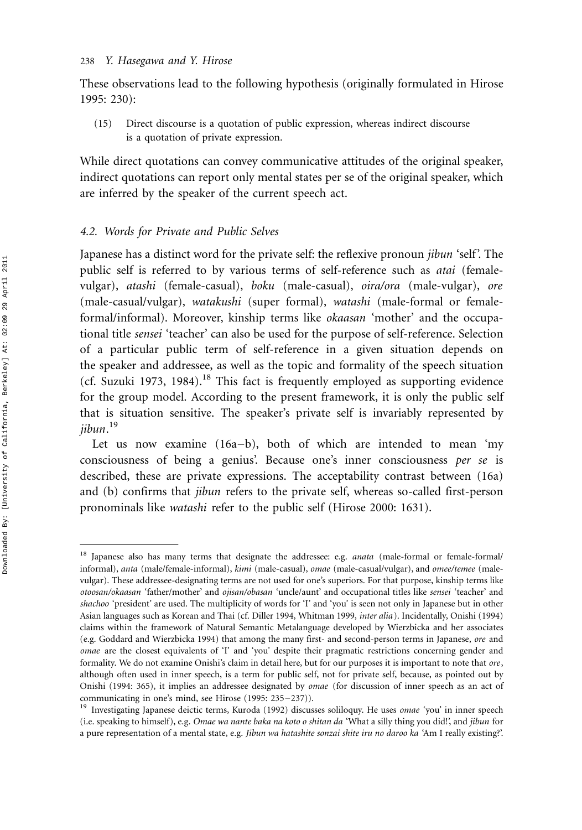These observations lead to the following hypothesis (originally formulated in Hirose 1995: 230):

(15) Direct discourse is a quotation of public expression, whereas indirect discourse is a quotation of private expression.

While direct quotations can convey communicative attitudes of the original speaker, indirect quotations can report only mental states per se of the original speaker, which are inferred by the speaker of the current speech act.

## 4.2. Words for Private and Public Selves

Japanese has a distinct word for the private self: the reflexive pronoun jibun 'self'. The public self is referred to by various terms of self-reference such as atai (femalevulgar), atashi (female-casual), boku (male-casual), oira/ora (male-vulgar), ore (male-casual/vulgar), watakushi (super formal), watashi (male-formal or femaleformal/informal). Moreover, kinship terms like okaasan 'mother' and the occupational title sensei 'teacher' can also be used for the purpose of self-reference. Selection of a particular public term of self-reference in a given situation depends on the speaker and addressee, as well as the topic and formality of the speech situation (cf. Suzuki 1973, 1984).<sup>18</sup> This fact is frequently employed as supporting evidence for the group model. According to the present framework, it is only the public self that is situation sensitive. The speaker's private self is invariably represented by jibun. 19

Let us now examine (16a-b), both of which are intended to mean 'my consciousness of being a genius'. Because one's inner consciousness per se is described, these are private expressions. The acceptability contrast between (16a) and (b) confirms that jibun refers to the private self, whereas so-called first-person pronominals like watashi refer to the public self (Hirose 2000: 1631).

<sup>&</sup>lt;sup>18</sup> Japanese also has many terms that designate the addressee: e.g. anata (male-formal or female-formal/ informal), anta (male/female-informal), kimi (male-casual), omae (male-casual/vulgar), and omee/temee (malevulgar). These addressee-designating terms are not used for one's superiors. For that purpose, kinship terms like otoosan/okaasan 'father/mother' and ojisan/obasan 'uncle/aunt' and occupational titles like sensei 'teacher' and shachoo 'president' are used. The multiplicity of words for 'I' and 'you' is seen not only in Japanese but in other Asian languages such as Korean and Thai (cf. Diller 1994, Whitman 1999, inter alia ). Incidentally, Onishi (1994) claims within the framework of Natural Semantic Metalanguage developed by Wierzbicka and her associates (e.g. Goddard and Wierzbicka 1994) that among the many first- and second-person terms in Japanese, ore and omae are the closest equivalents of 'I' and 'you' despite their pragmatic restrictions concerning gender and formality. We do not examine Onishi's claim in detail here, but for our purposes it is important to note that ore, although often used in inner speech, is a term for public self, not for private self, because, as pointed out by Onishi (1994: 365), it implies an addressee designated by omae (for discussion of inner speech as an act of communicating in one's mind, see Hirose (1995: 235-237)).

<sup>&</sup>lt;sup>19</sup> Investigating Japanese deictic terms, Kuroda (1992) discusses soliloquy. He uses omae 'you' in inner speech (i.e. speaking to himself), e.g. Omae wa nante baka na koto o shitan da 'What a silly thing you did!', and jibun for a pure representation of a mental state, e.g. Jibun wa hatashite sonzai shite iru no daroo ka 'Am I really existing?'.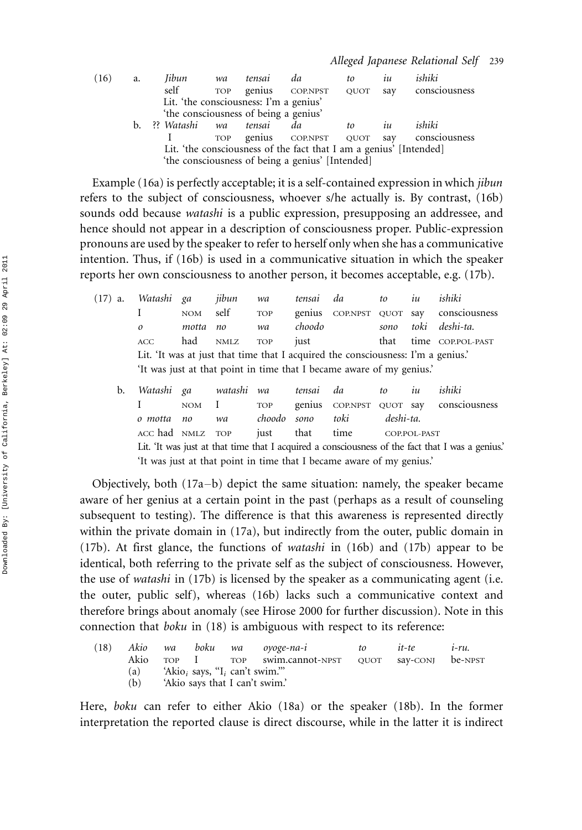Alleged Japanese Relational Self 239

| (16) | a. | <i>Jibun</i>                           | wa                                                                 | tensai | da                       | to          | $\iota\iota$ | ishiki        |  |  |  |  |  |
|------|----|----------------------------------------|--------------------------------------------------------------------|--------|--------------------------|-------------|--------------|---------------|--|--|--|--|--|
|      |    | self                                   | TOP                                                                |        | genius COP.NPST          | <b>OUOT</b> | say          | consciousness |  |  |  |  |  |
|      |    | Lit. 'the consciousness: I'm a genius' |                                                                    |        |                          |             |              |               |  |  |  |  |  |
|      |    |                                        | 'the consciousness of being a genius'                              |        |                          |             |              |               |  |  |  |  |  |
|      | b. | ?? Watashi                             | wa                                                                 | tensai | da                       | to          | $\iota\iota$ | ishiki        |  |  |  |  |  |
|      |    |                                        | <b>TOP</b>                                                         |        | genius COP.NPST QUOT say |             |              | consciousness |  |  |  |  |  |
|      |    |                                        | Lit. 'the consciousness of the fact that I am a genius' [Intended] |        |                          |             |              |               |  |  |  |  |  |
|      |    |                                        | 'the consciousness of being a genius' [Intended]                   |        |                          |             |              |               |  |  |  |  |  |

Example (16a) is perfectly acceptable; it is a self-contained expression in which jibun refers to the subject of consciousness, whoever s/he actually is. By contrast, (16b) sounds odd because *watashi* is a public expression, presupposing an addressee, and hence should not appear in a description of consciousness proper. Public-expression pronouns are used by the speaker to refer to herself only when she has a communicative intention. Thus, if (16b) is used in a communicative situation in which the speaker reports her own consciousness to another person, it becomes acceptable, e.g. (17b).

| (17) a. Watashi ga                                                               |            | iibun               | wa         | tensai da |                   | to   | iu | ishiki            |  |  |
|----------------------------------------------------------------------------------|------------|---------------------|------------|-----------|-------------------|------|----|-------------------|--|--|
|                                                                                  | <b>NOM</b> | self                | TOP        | genius    | COP.NPST QUOT Say |      |    | consciousness     |  |  |
| 0                                                                                | motta      | no                  | wa         | choodo    |                   | sono |    | toki deshi-ta.    |  |  |
| ACC                                                                              |            | had <sub>NMLZ</sub> | <b>TOP</b> | iust      |                   | that |    | time COP.POL-PAST |  |  |
| Lit. 'It was at just that time that I acquired the consciousness: I'm a genius.' |            |                     |            |           |                   |      |    |                   |  |  |
| 'It was just at that point in time that I became aware of my genius.'            |            |                     |            |           |                   |      |    |                   |  |  |

b. Watashi ga watashi wa tensai da to iu ishiki I NOM I TOP genius COP.NPST QUOT say consciousness o motta no wa choodo sono toki deshi-ta. ACC had NMLZ TOP just that time COP.POL-PAST Lit. 'It was just at that time that I acquired a consciousness of the fact that I was a genius.' 'It was just at that point in time that I became aware of my genius.'

Objectively, both (17a-b) depict the same situation: namely, the speaker became aware of her genius at a certain point in the past (perhaps as a result of counseling subsequent to testing). The difference is that this awareness is represented directly within the private domain in (17a), but indirectly from the outer, public domain in (17b). At first glance, the functions of watashi in (16b) and (17b) appear to be identical, both referring to the private self as the subject of consciousness. However, the use of watashi in (17b) is licensed by the speaker as a communicating agent (i.e. the outer, public self), whereas (16b) lacks such a communicative context and therefore brings about anomaly (see Hirose 2000 for further discussion). Note in this connection that boku in (18) is ambiguous with respect to its reference:

(18) Akio wa boku wa oyoge-na-i to it-te i-ru. Akio TOP I TOP swim.cannot-NPST QUOT say-CONJ be-NPST (a) 'Akio; says, "I; can't swim." (b) 'Akio says that I can't swim.'

Here, boku can refer to either Akio (18a) or the speaker (18b). In the former interpretation the reported clause is direct discourse, while in the latter it is indirect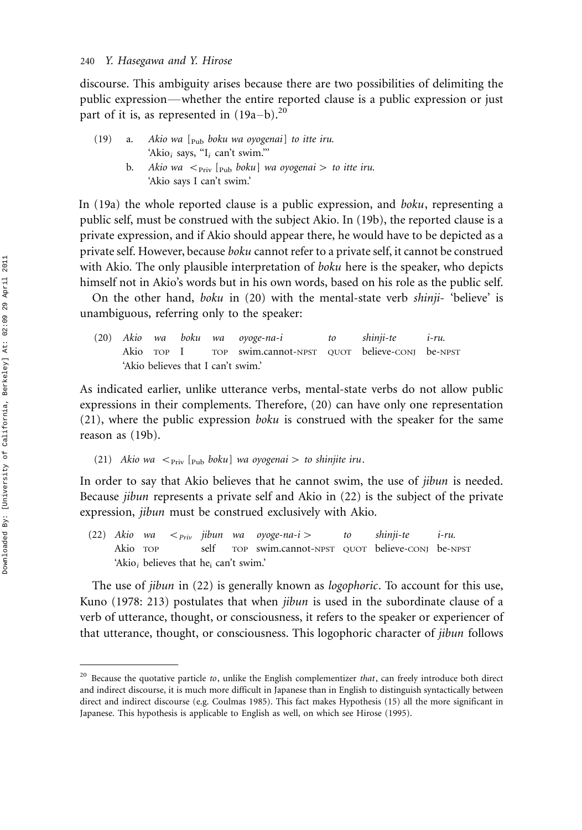discourse. This ambiguity arises because there are two possibilities of delimiting the public expression—whether the entire reported clause is a public expression or just part of it is, as represented in  $(19a-b).^{20}$ 

- (19) a. Akio wa  $\left[ \begin{array}{cc} p_{\text{ub}} & boku \text{ wa oyo}$ genai] to itte iru. 'Akio<sub>i</sub> says, " $I_i$  can't swim."
	- b. Akio wa  $\, <_{\rm Priv} \, [_{\rm Pub} \, \, {\it boku}]$  wa oyogenai $\, > \,$  to itte iru. 'Akio says I can't swim.'

In (19a) the whole reported clause is a public expression, and boku, representing a public self, must be construed with the subject Akio. In (19b), the reported clause is a private expression, and if Akio should appear there, he would have to be depicted as a private self. However, because boku cannot refer to a private self, it cannot be construed with Akio. The only plausible interpretation of *boku* here is the speaker, who depicts himself not in Akio's words but in his own words, based on his role as the public self.

On the other hand, boku in (20) with the mental-state verb shinji- 'believe' is unambiguous, referring only to the speaker:

(20) Akio wa boku wa oyoge-na-i to shinji-te i-ru. Akio TOP I TOP swim.cannot-NPST QUOT believe-CONJ be-NPST 'Akio believes that I can't swim.'

As indicated earlier, unlike utterance verbs, mental-state verbs do not allow public expressions in their complements. Therefore, (20) can have only one representation (21), where the public expression boku is construed with the speaker for the same reason as (19b).

(21) Akio wa  $\langle \nabla \rangle$   $\langle \nabla \rangle$  and  $\langle \nabla \rangle$  wa oyogenai  $>$  to shinjite iru.

In order to say that Akio believes that he cannot swim, the use of jibun is needed. Because jibun represents a private self and Akio in (22) is the subject of the private expression, jibun must be construed exclusively with Akio.

 $(22)$  Akio wa  $\langle P_{\text{priv}} \rangle$  jibun wa oyoge-na-i to shinji-te *i-ru*. Akio TOP self TOP swim.cannot-NPST QUOT believe-CONJ be-NPST 'Akio<sub>i</sub> believes that he<sub>i</sub> can't swim.'

The use of *jibun* in (22) is generally known as *logophoric*. To account for this use, Kuno (1978: 213) postulates that when jibun is used in the subordinate clause of a verb of utterance, thought, or consciousness, it refers to the speaker or experiencer of that utterance, thought, or consciousness. This logophoric character of jibun follows

 $20$  Because the quotative particle to, unlike the English complementizer that, can freely introduce both direct and indirect discourse, it is much more difficult in Japanese than in English to distinguish syntactically between direct and indirect discourse (e.g. Coulmas 1985). This fact makes Hypothesis (15) all the more significant in Japanese. This hypothesis is applicable to English as well, on which see Hirose (1995).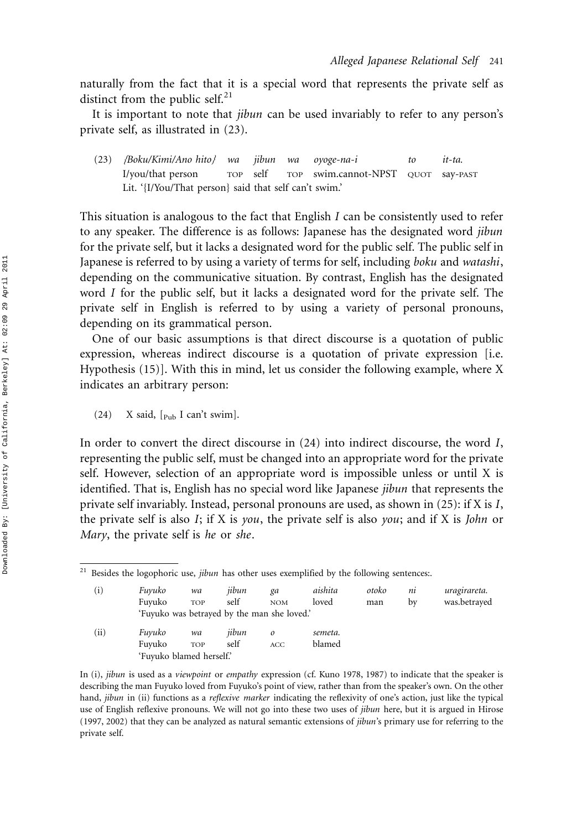naturally from the fact that it is a special word that represents the private self as distinct from the public self.<sup>21</sup>

It is important to note that *jibun* can be used invariably to refer to any person's private self, as illustrated in (23).

(23) {Boku/Kimi/Ano hito} wa jibun wa oyoge-na-i to it-ta. I/you/that person TOP self TOP swim.cannot-NPST QUOT say-PAST Lit. '{I/You/That person} said that self can't swim.'

This situation is analogous to the fact that English I can be consistently used to refer to any speaker. The difference is as follows: Japanese has the designated word jibun for the private self, but it lacks a designated word for the public self. The public self in Japanese is referred to by using a variety of terms for self, including boku and watashi, depending on the communicative situation. By contrast, English has the designated word I for the public self, but it lacks a designated word for the private self. The private self in English is referred to by using a variety of personal pronouns, depending on its grammatical person.

One of our basic assumptions is that direct discourse is a quotation of public expression, whereas indirect discourse is a quotation of private expression [i.e. Hypothesis (15)]. With this in mind, let us consider the following example, where X indicates an arbitrary person:

 $(24)$  X said,  $\lbrack \mathbf{p}_{\mathrm{ub}} \rbrack$  can't swim].

In order to convert the direct discourse in (24) into indirect discourse, the word I, representing the public self, must be changed into an appropriate word for the private self. However, selection of an appropriate word is impossible unless or until X is identified. That is, English has no special word like Japanese *jibun* that represents the private self invariably. Instead, personal pronouns are used, as shown in (25): if X is I, the private self is also I; if X is you, the private self is also you; and if X is John or Mary, the private self is he or she.

 $21$  Besides the logophoric use, *jibun* has other uses exemplified by the following sentences:.

| (i)  | Fuvuko<br>Fuvuko         | wa<br>TOP | iibun<br>self                               | ga<br><b>NOM</b> | aishita<br>loved | otoko<br>man | ni<br>bv | uragirareta.<br>was.betrayed |  |  |  |
|------|--------------------------|-----------|---------------------------------------------|------------------|------------------|--------------|----------|------------------------------|--|--|--|
|      |                          |           | 'Fuyuko was betrayed by the man she loved.' |                  |                  |              |          |                              |  |  |  |
| (ii) | Fuvuko                   | wa        | iibun                                       | 0                | semeta.          |              |          |                              |  |  |  |
|      | Fuvuko                   | TOP       | self                                        | <b>ACC</b>       | blamed           |              |          |                              |  |  |  |
|      | 'Fuyuko blamed herself.' |           |                                             |                  |                  |              |          |                              |  |  |  |

In (i), *jibun* is used as a *viewpoint* or *empathy* expression (cf. Kuno 1978, 1987) to indicate that the speaker is describing the man Fuyuko loved from Fuyuko's point of view, rather than from the speaker's own. On the other hand, jibun in (ii) functions as a reflexive marker indicating the reflexivity of one's action, just like the typical use of English reflexive pronouns. We will not go into these two uses of *jibun* here, but it is argued in Hirose (1997, 2002) that they can be analyzed as natural semantic extensions of jibun's primary use for referring to the private self.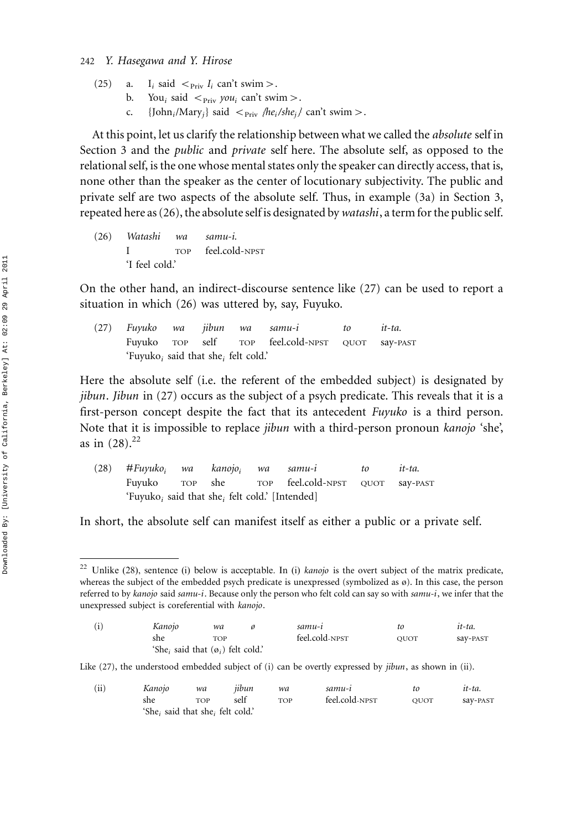## 242 Y. Hasegawa and Y. Hirose

- (25) a. I<sub>i</sub> said  $\lt_{\text{Priv}} I_i$  can't swim >.
	- b. You<sub>i</sub> said  $\lt_{\text{Priv}}$  you<sub>i</sub> can't swim >.
	- c. {John<sub>i</sub>/Mary<sub>j</sub>} said  $\langle \mathbf{p}_{\text{riv}} | \mathbf{p}_{e_i}/\mathbf{s} \mathbf{h} \mathbf{e}_j \rangle$  can't swim  $\rangle$ .

At this point, let us clarify the relationship between what we called the absolute self in Section 3 and the public and private self here. The absolute self, as opposed to the relational self, is the one whose mental states only the speaker can directly access, that is, none other than the speaker as the center of locutionary subjectivity. The public and private self are two aspects of the absolute self. Thus, in example (3a) in Section 3, repeated here as (26), the absolute self is designated by *watashi*, a term for the public self.

(26) Watashi wa samu-i. I TOP feel.cold-NPST 'I feel cold.'

On the other hand, an indirect-discourse sentence like (27) can be used to report a situation in which (26) was uttered by, say, Fuyuko.

(27) Fuyuko wa jibun wa samu-i to it-ta. Fuyuko TOP self TOP feel.cold-NPST QUOT say-PAST 'Fuyuko<sub>i</sub> said that she<sub>i</sub> felt cold.'

Here the absolute self (i.e. the referent of the embedded subject) is designated by jibun. Jibun in (27) occurs as the subject of a psych predicate. This reveals that it is a first-person concept despite the fact that its antecedent Fuyuko is a third person. Note that it is impossible to replace jibun with a third-person pronoun kanojo 'she', as in  $(28).^{22}$ 

(28) #Fuyuko<sub>i</sub> wa kanojo<sub>i</sub> wa samu-i to it-ta. Fuyuko TOP she TOP feel.cold-NPST QUOT say-PAST 'Fuyuko; said that she; felt cold.' [Intended]

In short, the absolute self can manifest itself as either a public or a private self.

<sup>&</sup>lt;sup>22</sup> Unlike (28), sentence (i) below is acceptable. In (i) kanojo is the overt subject of the matrix predicate, whereas the subject of the embedded psych predicate is unexpressed (symbolized as ø). In this case, the person referred to by kanojo said samu-i. Because only the person who felt cold can say so with samu-i, we infer that the unexpressed subject is coreferential with kanojo.

| (i) | Kanojo                                    | wa  |  | samu-i         | to          | $it-ta$ . |
|-----|-------------------------------------------|-----|--|----------------|-------------|-----------|
|     | she                                       | TOP |  | feel.cold-NPST | <b>OUOT</b> | sav-PAST  |
|     | 'She, said that $(\varphi_i)$ felt cold.' |     |  |                |             |           |

Like (27), the understood embedded subject of (i) can be overtly expressed by jibun, as shown in (ii).

| (ii) | Kanoio                                                   | wa  | iibun | wa         | samu-i         | to          | $it-ta$ . |
|------|----------------------------------------------------------|-----|-------|------------|----------------|-------------|-----------|
|      | she                                                      | TOP | self  | <b>TOP</b> | feel.cold-NPST | <b>OUOT</b> | sav-PAST  |
|      | 'She <sub>i</sub> said that she <sub>i</sub> felt cold.' |     |       |            |                |             |           |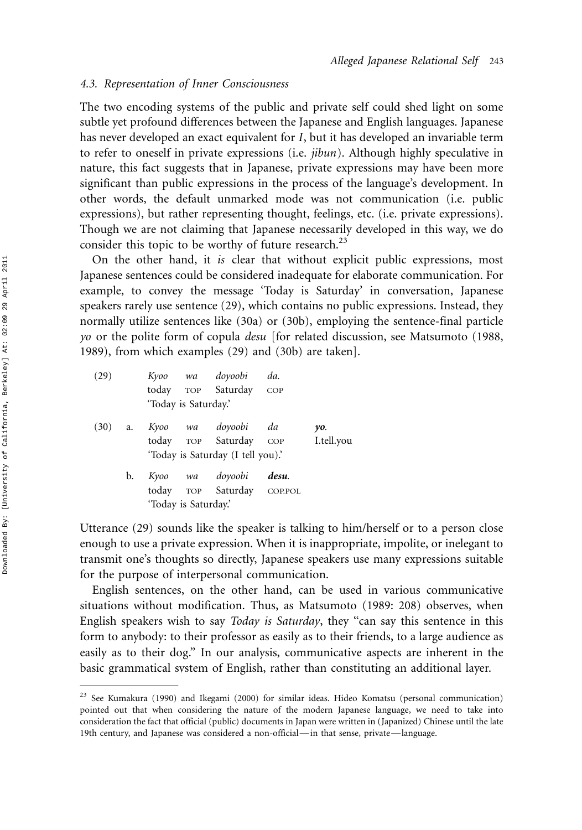## 4.3. Representation of Inner Consciousness

The two encoding systems of the public and private self could shed light on some subtle yet profound differences between the Japanese and English languages. Japanese has never developed an exact equivalent for I, but it has developed an invariable term to refer to oneself in private expressions (i.e. jibun). Although highly speculative in nature, this fact suggests that in Japanese, private expressions may have been more significant than public expressions in the process of the language's development. In other words, the default unmarked mode was not communication (i.e. public expressions), but rather representing thought, feelings, etc. (i.e. private expressions). Though we are not claiming that Japanese necessarily developed in this way, we do consider this topic to be worthy of future research.<sup>23</sup>

On the other hand, it is clear that without explicit public expressions, most Japanese sentences could be considered inadequate for elaborate communication. For example, to convey the message 'Today is Saturday' in conversation, Japanese speakers rarely use sentence (29), which contains no public expressions. Instead, they normally utilize sentences like (30a) or (30b), employing the sentence-final particle yo or the polite form of copula desu [for related discussion, see Matsumoto (1988, 1989), from which examples (29) and (30b) are taken].

| (29) |    | Kyoo                 | wa doyoobi                        | da.   |            |
|------|----|----------------------|-----------------------------------|-------|------------|
|      |    |                      | today TOP Saturday                | COP   |            |
|      |    | 'Today is Saturday.' |                                   |       |            |
| (30) | a. |                      | Kyoo wa doyoobi da                |       | VO.        |
|      |    |                      | today TOP Saturday COP            |       | I.tell.you |
|      |    |                      | 'Today is Saturday (I tell you).' |       |            |
|      | b. | Kyoo                 | wa doyoobi                        | desu. |            |
|      |    |                      | today TOP Saturday COP.POL        |       |            |
|      |    | 'Today is Saturday.' |                                   |       |            |

Utterance (29) sounds like the speaker is talking to him/herself or to a person close enough to use a private expression. When it is inappropriate, impolite, or inelegant to transmit one's thoughts so directly, Japanese speakers use many expressions suitable for the purpose of interpersonal communication.

English sentences, on the other hand, can be used in various communicative situations without modification. Thus, as Matsumoto (1989: 208) observes, when English speakers wish to say *Today is Saturday*, they "can say this sentence in this form to anybody: to their professor as easily as to their friends, to a large audience as easily as to their dog.'' In our analysis, communicative aspects are inherent in the basic grammatical system of English, rather than constituting an additional layer.

<sup>&</sup>lt;sup>23</sup> See Kumakura (1990) and Ikegami (2000) for similar ideas. Hideo Komatsu (personal communication) pointed out that when considering the nature of the modern Japanese language, we need to take into consideration the fact that official (public) documents in Japan were written in (Japanized) Chinese until the late 19th century, and Japanese was considered a non-official—in that sense, private—language.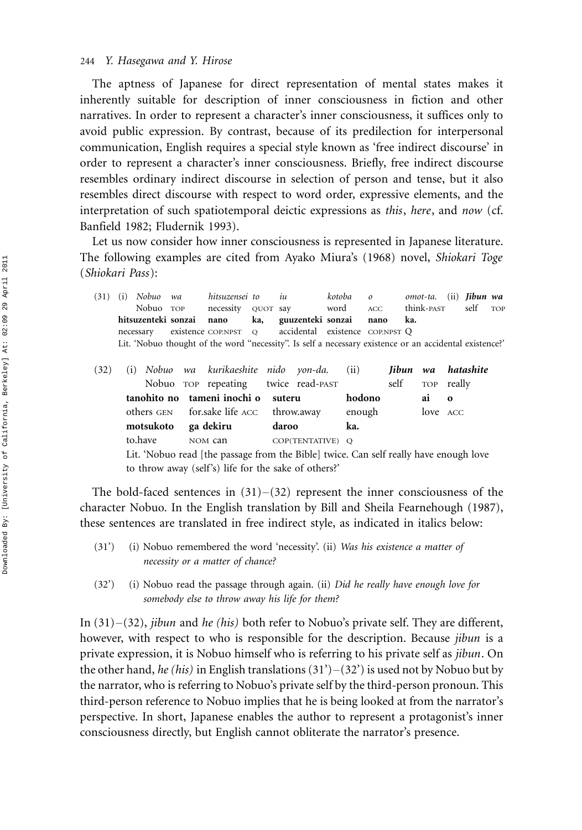## 244 Y. Hasegawa and Y. Hirose

The aptness of Japanese for direct representation of mental states makes it inherently suitable for description of inner consciousness in fiction and other narratives. In order to represent a character's inner consciousness, it suffices only to avoid public expression. By contrast, because of its predilection for interpersonal communication, English requires a special style known as 'free indirect discourse' in order to represent a character's inner consciousness. Briefly, free indirect discourse resembles ordinary indirect discourse in selection of person and tense, but it also resembles direct discourse with respect to word order, expressive elements, and the interpretation of such spatiotemporal deictic expressions as this, here, and now (cf. Banfield 1982; Fludernik 1993).

Let us now consider how inner consciousness is represented in Japanese literature. The following examples are cited from Ayako Miura's (1968) novel, Shiokari Toge (Shiokari Pass):

| (31) | (i)                                                                                                                                           | Nobuo     | wa      | hitsuzensei to                                              |     | iи                                     | kotoba | $\theta$         |              |     | omot-ta.   |          | (ii) <b>Jibun</b> wa |            |
|------|-----------------------------------------------------------------------------------------------------------------------------------------------|-----------|---------|-------------------------------------------------------------|-----|----------------------------------------|--------|------------------|--------------|-----|------------|----------|----------------------|------------|
|      |                                                                                                                                               | Nobuo TOP |         | necessity QUOT say                                          |     |                                        | word   | ACC              |              |     | think-PAST |          | self                 | <b>TOP</b> |
|      | hitsuzenteki sonzai                                                                                                                           |           |         | nano                                                        | ka, | guuzenteki sonzai                      |        | nano             |              | ka. |            |          |                      |            |
|      |                                                                                                                                               | necessary |         | existence COP.NPST Q                                        |     | accidental existence COP.NPST Q        |        |                  |              |     |            |          |                      |            |
|      | Lit. 'Nobuo thought of the word "necessity". Is self a necessary existence or an accidental existence?'                                       |           |         |                                                             |     |                                        |        |                  |              |     |            |          |                      |            |
|      |                                                                                                                                               |           |         |                                                             |     |                                        |        |                  |              |     |            |          |                      |            |
| (32) |                                                                                                                                               |           |         |                                                             |     | (i) Nobuo wa kurikaeshite nido yon-da. |        | (ii)             | <b>Jibun</b> |     | wa         |          | hatashite            |            |
|      |                                                                                                                                               |           |         | Nobuo TOP repeating                                         |     | twice read-PAST                        |        |                  | self         |     | TOP        | really   |                      |            |
|      |                                                                                                                                               |           |         | tanohito no tameni inochi o<br>others GEN for sake life ACC |     | suteru<br>throw.away                   |        | hodono<br>enough |              |     | ai         | $\Omega$ |                      |            |
|      |                                                                                                                                               |           |         |                                                             |     |                                        |        |                  |              |     | love ACC   |          |                      |            |
|      |                                                                                                                                               | motsukoto |         | ga dekiru                                                   |     | daroo                                  |        | ka.              |              |     |            |          |                      |            |
|      | to.have                                                                                                                                       |           | NOM can |                                                             |     | COP(TENTATIVE) Q                       |        |                  |              |     |            |          |                      |            |
|      |                                                                                                                                               |           |         |                                                             |     |                                        |        |                  |              |     |            |          |                      |            |
|      | Lit. 'Nobuo read [the passage from the Bible] twice. Can self really have enough love<br>to throw away (self's) life for the sake of others?' |           |         |                                                             |     |                                        |        |                  |              |     |            |          |                      |            |

The bold-faced sentences in  $(31)$ – $(32)$  represent the inner consciousness of the character Nobuo. In the English translation by Bill and Sheila Fearnehough (1987), these sentences are translated in free indirect style, as indicated in italics below:

- (31') (i) Nobuo remembered the word 'necessity'. (ii) Was his existence a matter of necessity or a matter of chance?
- (32') (i) Nobuo read the passage through again. (ii) Did he really have enough love for somebody else to throw away his life for them?

In  $(31)$ – $(32)$ , jibun and he (his) both refer to Nobuo's private self. They are different, however, with respect to who is responsible for the description. Because *jibun* is a private expression, it is Nobuo himself who is referring to his private self as jibun. On the other hand, *he (his)* in English translations  $(31') - (32')$  is used not by Nobuo but by the narrator, who is referring to Nobuo's private self by the third-person pronoun. This third-person reference to Nobuo implies that he is being looked at from the narrator's perspective. In short, Japanese enables the author to represent a protagonist's inner consciousness directly, but English cannot obliterate the narrator's presence.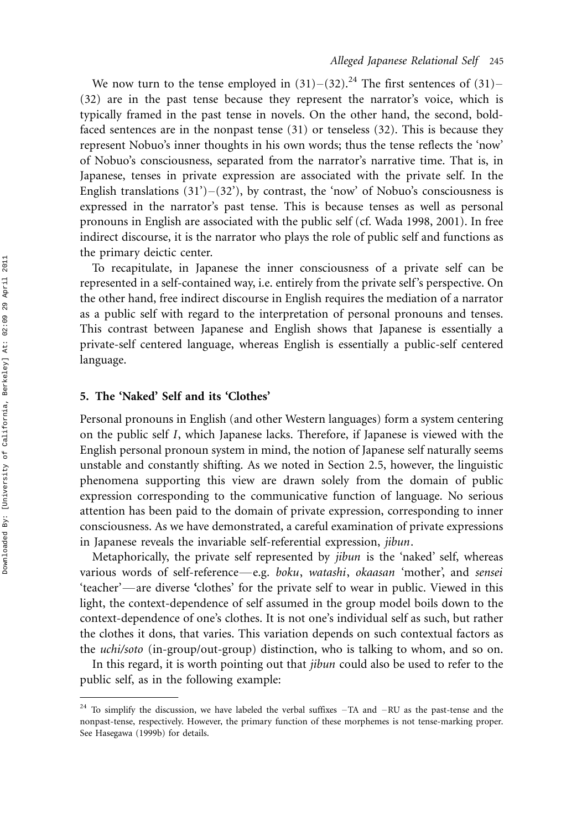We now turn to the tense employed in  $(31)$ – $(32)$ .<sup>24</sup> The first sentences of  $(31)$ – (32) are in the past tense because they represent the narrator's voice, which is typically framed in the past tense in novels. On the other hand, the second, boldfaced sentences are in the nonpast tense (31) or tenseless (32). This is because they represent Nobuo's inner thoughts in his own words; thus the tense reflects the 'now' of Nobuo's consciousness, separated from the narrator's narrative time. That is, in Japanese, tenses in private expression are associated with the private self. In the English translations  $(31') - (32')$ , by contrast, the 'now' of Nobuo's consciousness is expressed in the narrator's past tense. This is because tenses as well as personal pronouns in English are associated with the public self (cf. Wada 1998, 2001). In free indirect discourse, it is the narrator who plays the role of public self and functions as the primary deictic center.

To recapitulate, in Japanese the inner consciousness of a private self can be represented in a self-contained way, i.e. entirely from the private self's perspective. On the other hand, free indirect discourse in English requires the mediation of a narrator as a public self with regard to the interpretation of personal pronouns and tenses. This contrast between Japanese and English shows that Japanese is essentially a private-self centered language, whereas English is essentially a public-self centered language.

## 5. The 'Naked' Self and its 'Clothes'

Personal pronouns in English (and other Western languages) form a system centering on the public self I, which Japanese lacks. Therefore, if Japanese is viewed with the English personal pronoun system in mind, the notion of Japanese self naturally seems unstable and constantly shifting. As we noted in Section 2.5, however, the linguistic phenomena supporting this view are drawn solely from the domain of public expression corresponding to the communicative function of language. No serious attention has been paid to the domain of private expression, corresponding to inner consciousness. As we have demonstrated, a careful examination of private expressions in Japanese reveals the invariable self-referential expression, jibun.

Metaphorically, the private self represented by jibun is the 'naked' self, whereas various words of self-reference—e.g. boku, watashi, okaasan 'mother', and sensei 'teacher'\*/are diverse 'clothes' for the private self to wear in public. Viewed in this light, the context-dependence of self assumed in the group model boils down to the context-dependence of one's clothes. It is not one's individual self as such, but rather the clothes it dons, that varies. This variation depends on such contextual factors as the uchi/soto (in-group/out-group) distinction, who is talking to whom, and so on.

In this regard, it is worth pointing out that *jibun* could also be used to refer to the public self, as in the following example:

 $24$  To simplify the discussion, we have labeled the verbal suffixes  $-TA$  and  $-RU$  as the past-tense and the nonpast-tense, respectively. However, the primary function of these morphemes is not tense-marking proper. See Hasegawa (1999b) for details.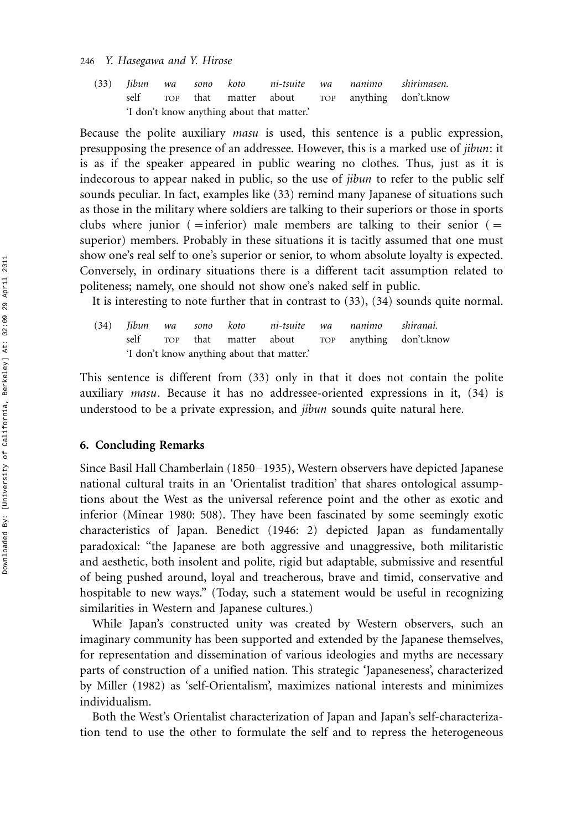#### 246 Y. Hasegawa and Y. Hirose

(33) Jibun wa sono koto ni-tsuite wa nanimo shirimasen. self TOP that matter about TOP anything don't.know 'I don't know anything about that matter.'

Because the polite auxiliary masu is used, this sentence is a public expression, presupposing the presence of an addressee. However, this is a marked use of jibun: it is as if the speaker appeared in public wearing no clothes. Thus, just as it is indecorous to appear naked in public, so the use of jibun to refer to the public self sounds peculiar. In fact, examples like (33) remind many Japanese of situations such as those in the military where soldiers are talking to their superiors or those in sports clubs where junior (=inferior) male members are talking to their senior (= superior) members. Probably in these situations it is tacitly assumed that one must show one's real self to one's superior or senior, to whom absolute loyalty is expected. Conversely, in ordinary situations there is a different tacit assumption related to politeness; namely, one should not show one's naked self in public.

It is interesting to note further that in contrast to (33), (34) sounds quite normal.

(34) Jibun wa sono koto ni-tsuite wa nanimo shiranai. self TOP that matter about TOP anything don't.know 'I don't know anything about that matter.'

This sentence is different from (33) only in that it does not contain the polite auxiliary masu. Because it has no addressee-oriented expressions in it, (34) is understood to be a private expression, and *jibun* sounds quite natural here.

## 6. Concluding Remarks

Since Basil Hall Chamberlain (1850–1935), Western observers have depicted Japanese national cultural traits in an 'Orientalist tradition' that shares ontological assumptions about the West as the universal reference point and the other as exotic and inferior (Minear 1980: 508). They have been fascinated by some seemingly exotic characteristics of Japan. Benedict (1946: 2) depicted Japan as fundamentally paradoxical: ''the Japanese are both aggressive and unaggressive, both militaristic and aesthetic, both insolent and polite, rigid but adaptable, submissive and resentful of being pushed around, loyal and treacherous, brave and timid, conservative and hospitable to new ways.'' (Today, such a statement would be useful in recognizing similarities in Western and Japanese cultures.)

While Japan's constructed unity was created by Western observers, such an imaginary community has been supported and extended by the Japanese themselves, for representation and dissemination of various ideologies and myths are necessary parts of construction of a unified nation. This strategic 'Japaneseness', characterized by Miller (1982) as 'self-Orientalism', maximizes national interests and minimizes individualism.

Both the West's Orientalist characterization of Japan and Japan's self-characterization tend to use the other to formulate the self and to repress the heterogeneous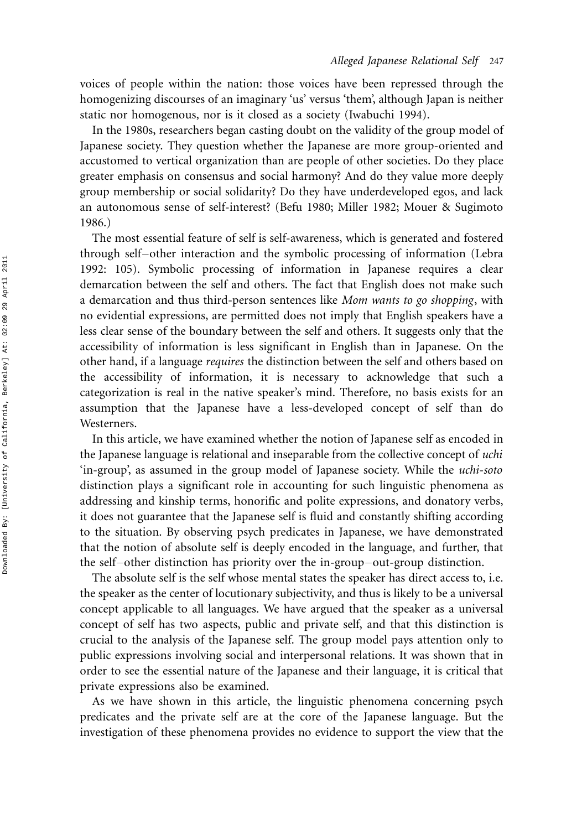voices of people within the nation: those voices have been repressed through the homogenizing discourses of an imaginary 'us' versus 'them', although Japan is neither static nor homogenous, nor is it closed as a society (Iwabuchi 1994).

In the 1980s, researchers began casting doubt on the validity of the group model of Japanese society. They question whether the Japanese are more group-oriented and accustomed to vertical organization than are people of other societies. Do they place greater emphasis on consensus and social harmony? And do they value more deeply group membership or social solidarity? Do they have underdeveloped egos, and lack an autonomous sense of self-interest? (Befu 1980; Miller 1982; Mouer & Sugimoto 1986.)

The most essential feature of self is self-awareness, which is generated and fostered through self-other interaction and the symbolic processing of information (Lebra 1992: 105). Symbolic processing of information in Japanese requires a clear demarcation between the self and others. The fact that English does not make such a demarcation and thus third-person sentences like *Mom wants to go shopping*, with no evidential expressions, are permitted does not imply that English speakers have a less clear sense of the boundary between the self and others. It suggests only that the accessibility of information is less significant in English than in Japanese. On the other hand, if a language requires the distinction between the self and others based on the accessibility of information, it is necessary to acknowledge that such a categorization is real in the native speaker's mind. Therefore, no basis exists for an assumption that the Japanese have a less-developed concept of self than do Westerners.

In this article, we have examined whether the notion of Japanese self as encoded in the Japanese language is relational and inseparable from the collective concept of uchi 'in-group', as assumed in the group model of Japanese society. While the uchi-soto distinction plays a significant role in accounting for such linguistic phenomena as addressing and kinship terms, honorific and polite expressions, and donatory verbs, it does not guarantee that the Japanese self is fluid and constantly shifting according to the situation. By observing psych predicates in Japanese, we have demonstrated that the notion of absolute self is deeply encoded in the language, and further, that the self-other distinction has priority over the in-group-out-group distinction.

The absolute self is the self whose mental states the speaker has direct access to, i.e. the speaker as the center of locutionary subjectivity, and thus is likely to be a universal concept applicable to all languages. We have argued that the speaker as a universal concept of self has two aspects, public and private self, and that this distinction is crucial to the analysis of the Japanese self. The group model pays attention only to public expressions involving social and interpersonal relations. It was shown that in order to see the essential nature of the Japanese and their language, it is critical that private expressions also be examined.

As we have shown in this article, the linguistic phenomena concerning psych predicates and the private self are at the core of the Japanese language. But the investigation of these phenomena provides no evidence to support the view that the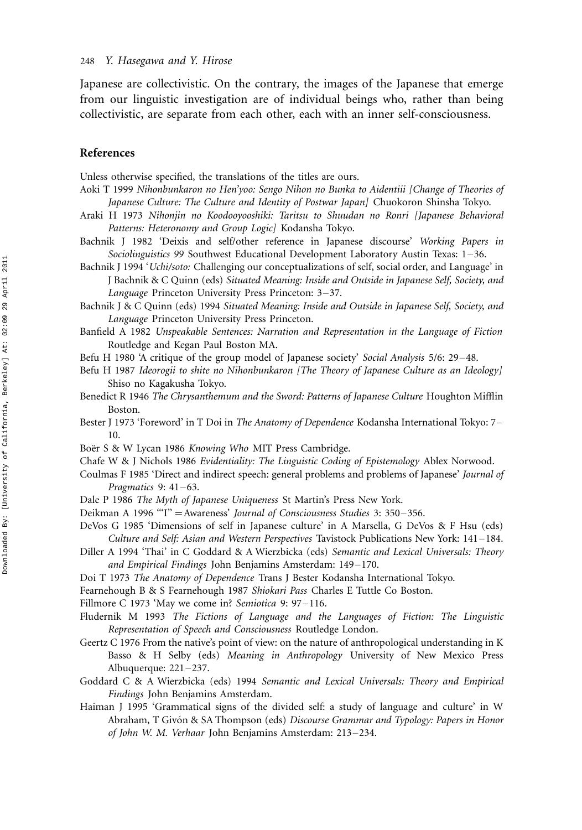Japanese are collectivistic. On the contrary, the images of the Japanese that emerge from our linguistic investigation are of individual beings who, rather than being collectivistic, are separate from each other, each with an inner self-consciousness.

#### References

Unless otherwise specified, the translations of the titles are ours.

- Aoki T 1999 Nihonbunkaron no Hen'yoo: Sengo Nihon no Bunka to Aidentiii [Change of Theories of Japanese Culture: The Culture and Identity of Postwar Japan] Chuokoron Shinsha Tokyo.
- Araki H 1973 Nihonjin no Koodooyooshiki: Taritsu to Shuudan no Ronri [Japanese Behavioral Patterns: Heteronomy and Group Logic] Kodansha Tokyo.
- Bachnik J 1982 'Deixis and self/other reference in Japanese discourse' Working Papers in Sociolinguistics 99 Southwest Educational Development Laboratory Austin Texas: 1-36.

Bachnik J 1994 'Uchi/soto: Challenging our conceptualizations of self, social order, and Language' in J Bachnik & C Quinn (eds) Situated Meaning: Inside and Outside in Japanese Self, Society, and Language Princeton University Press Princeton: 3-37.

Bachnik J & C Quinn (eds) 1994 Situated Meaning: Inside and Outside in Japanese Self, Society, and Language Princeton University Press Princeton.

Banfield A 1982 Unspeakable Sentences: Narration and Representation in the Language of Fiction Routledge and Kegan Paul Boston MA.

Befu H 1980 'A critique of the group model of Japanese society' Social Analysis 5/6: 29–48.

- Befu H 1987 Ideorogii to shite no Nihonbunkaron [The Theory of Japanese Culture as an Ideology] Shiso no Kagakusha Tokyo.
- Benedict R 1946 The Chrysanthemum and the Sword: Patterns of Japanese Culture Houghton Mifflin Boston.
- Bester J 1973 'Foreword' in T Doi in The Anatomy of Dependence Kodansha International Tokyo: 7-10.
- Boër S & W Lycan 1986 Knowing Who MIT Press Cambridge.
- Chafe W & J Nichols 1986 Evidentiality: The Linguistic Coding of Epistemology Ablex Norwood.
- Coulmas F 1985 'Direct and indirect speech: general problems and problems of Japanese' Journal of Pragmatics 9: 41-63.
- Dale P 1986 The Myth of Japanese Uniqueness St Martin's Press New York.
- Deikman A 1996 "'I" = Awareness' Journal of Consciousness Studies 3: 350-356.
- DeVos G 1985 'Dimensions of self in Japanese culture' in A Marsella, G DeVos & F Hsu (eds) Culture and Self: Asian and Western Perspectives Tavistock Publications New York: 141-184.
- Diller A 1994 'Thai' in C Goddard & A Wierzbicka (eds) Semantic and Lexical Universals: Theory and Empirical Findings John Benjamins Amsterdam: 149-170.
- Doi T 1973 The Anatomy of Dependence Trans J Bester Kodansha International Tokyo.
- Fearnehough B & S Fearnehough 1987 Shiokari Pass Charles E Tuttle Co Boston.

Fillmore C 1973 'May we come in? Semiotica 9: 97-116.

Fludernik M 1993 The Fictions of Language and the Languages of Fiction: The Linguistic Representation of Speech and Consciousness Routledge London.

- Geertz C 1976 From the native's point of view: on the nature of anthropological understanding in K Basso & H Selby (eds) Meaning in Anthropology University of New Mexico Press Albuquerque: 221–237.
- Goddard C & A Wierzbicka (eds) 1994 Semantic and Lexical Universals: Theory and Empirical Findings John Benjamins Amsterdam.
- Haiman J 1995 'Grammatical signs of the divided self: a study of language and culture' in W Abraham, T Givón & SA Thompson (eds) Discourse Grammar and Typology: Papers in Honor of John W. M. Verhaar John Benjamins Amsterdam: 213-234.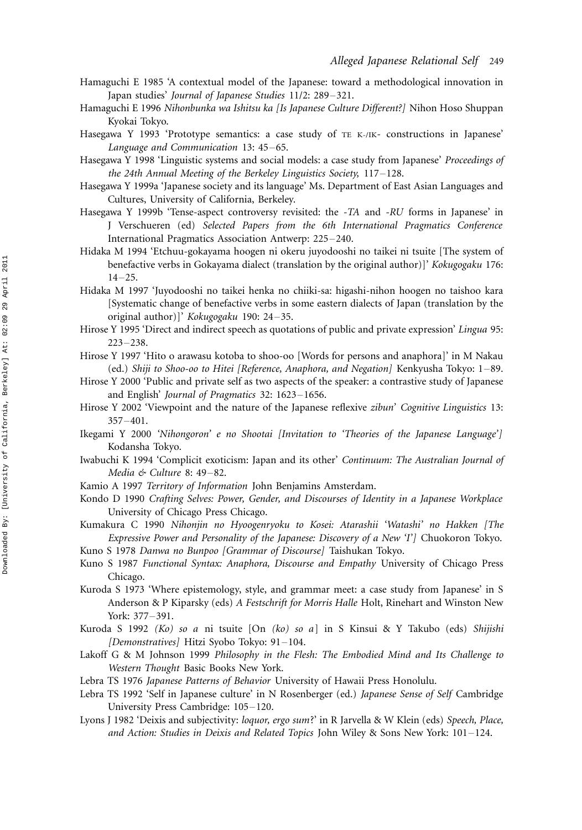- Hamaguchi E 1985 'A contextual model of the Japanese: toward a methodological innovation in Japan studies' Journal of Japanese Studies 11/2: 289–321.
- Hamaguchi E 1996 Nihonbunka wa Ishitsu ka [Is Japanese Culture Different?] Nihon Hoso Shuppan Kyokai Tokyo.
- Hasegawa Y 1993 'Prototype semantics: a case study of TE K-/IK- constructions in Japanese' Language and Communication 13: 45-65.
- Hasegawa Y 1998 'Linguistic systems and social models: a case study from Japanese' Proceedings of the 24th Annual Meeting of the Berkeley Linguistics Society, 117–128.
- Hasegawa Y 1999a 'Japanese society and its language' Ms. Department of East Asian Languages and Cultures, University of California, Berkeley.
- Hasegawa Y 1999b 'Tense-aspect controversy revisited: the -TA and -RU forms in Japanese' in J Verschueren (ed) Selected Papers from the 6th International Pragmatics Conference International Pragmatics Association Antwerp: 225-240.
- Hidaka M 1994 'Etchuu-gokayama hoogen ni okeru juyodooshi no taikei ni tsuite [The system of benefactive verbs in Gokayama dialect (translation by the original author)]' Kokugogaku 176:  $14 - 25.$
- Hidaka M 1997 'Juyodooshi no taikei henka no chiiki-sa: higashi-nihon hoogen no taishoo kara [Systematic change of benefactive verbs in some eastern dialects of Japan (translation by the original author)]' Kokugogaku 190: 24–35.
- Hirose Y 1995 'Direct and indirect speech as quotations of public and private expression' Lingua 95:  $223 - 238.$
- Hirose Y 1997 'Hito o arawasu kotoba to shoo-oo [Words for persons and anaphora]' in M Nakau (ed.) Shiji to Shoo-oo to Hitei [Reference, Anaphora, and Negation] Kenkyusha Tokyo: 1-89.
- Hirose Y 2000 'Public and private self as two aspects of the speaker: a contrastive study of Japanese and English' Journal of Pragmatics 32: 1623-1656.
- Hirose Y 2002 'Viewpoint and the nature of the Japanese reflexive zibun' Cognitive Linguistics 13:  $357 - 401.$
- Ikegami Y 2000 'Nihongoron' e no Shootai [Invitation to 'Theories of the Japanese Language'] Kodansha Tokyo.
- Iwabuchi K 1994 'Complicit exoticism: Japan and its other' Continuum: The Australian Journal of Media & Culture 8: 49-82.
- Kamio A 1997 Territory of Information John Benjamins Amsterdam.
- Kondo D 1990 Crafting Selves: Power, Gender, and Discourses of Identity in a Japanese Workplace University of Chicago Press Chicago.
- Kumakura C 1990 Nihonjin no Hyoogenryoku to Kosei: Atarashii 'Watashi' no Hakken [The Expressive Power and Personality of the Japanese: Discovery of a New 'I'] Chuokoron Tokyo.
- Kuno S 1978 Danwa no Bunpoo [Grammar of Discourse] Taishukan Tokyo.
- Kuno S 1987 Functional Syntax: Anaphora, Discourse and Empathy University of Chicago Press Chicago.
- Kuroda S 1973 'Where epistemology, style, and grammar meet: a case study from Japanese' in S Anderson & P Kiparsky (eds) A Festschrift for Morris Halle Holt, Rinehart and Winston New York: 377–391.
- Kuroda S 1992 (Ko) so a ni tsuite  $[On (ko) so a]$  in S Kinsui & Y Takubo (eds) Shijishi [Demonstratives] Hitzi Syobo Tokyo: 91-104.
- Lakoff G & M Johnson 1999 Philosophy in the Flesh: The Embodied Mind and Its Challenge to Western Thought Basic Books New York.
- Lebra TS 1976 Japanese Patterns of Behavior University of Hawaii Press Honolulu.
- Lebra TS 1992 'Self in Japanese culture' in N Rosenberger (ed.) Japanese Sense of Self Cambridge University Press Cambridge: 105-120.
- Lyons J 1982 'Deixis and subjectivity: loquor, ergo sum?' in R Jarvella & W Klein (eds) Speech, Place, and Action: Studies in Deixis and Related Topics John Wiley & Sons New York: 101–124.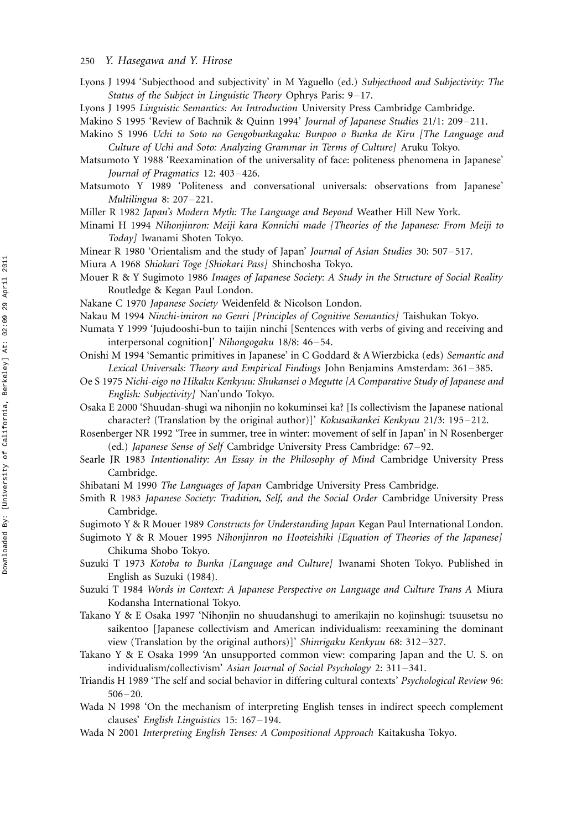#### 250 Y. Hasegawa and Y. Hirose

- Lyons J 1994 'Subjecthood and subjectivity' in M Yaguello (ed.) Subjecthood and Subjectivity: The Status of the Subject in Linguistic Theory Ophrys Paris: 9-17.
- Lyons J 1995 Linguistic Semantics: An Introduction University Press Cambridge Cambridge.

Makino S 1995 'Review of Bachnik & Quinn 1994' Journal of Japanese Studies 21/1: 209–211.

Makino S 1996 Uchi to Soto no Gengobunkagaku: Bunpoo o Bunka de Kiru [The Language and Culture of Uchi and Soto: Analyzing Grammar in Terms of Culture] Aruku Tokyo.

Matsumoto Y 1988 'Reexamination of the universality of face: politeness phenomena in Japanese' Journal of Pragmatics 12: 403-426.

Matsumoto Y 1989 'Politeness and conversational universals: observations from Japanese' Multilingua 8: 207-221.

Miller R 1982 Japan's Modern Myth: The Language and Beyond Weather Hill New York.

- Minami H 1994 Nihonjinron: Meiji kara Konnichi made [Theories of the Japanese: From Meiji to Today] Iwanami Shoten Tokyo.
- Minear R 1980 'Orientalism and the study of Japan' Journal of Asian Studies 30: 507-517.
- Miura A 1968 Shiokari Toge [Shiokari Pass] Shinchosha Tokyo.
- Mouer R & Y Sugimoto 1986 Images of Japanese Society: A Study in the Structure of Social Reality Routledge & Kegan Paul London.
- Nakane C 1970 Japanese Society Weidenfeld & Nicolson London.
- Nakau M 1994 Ninchi-imiron no Genri [Principles of Cognitive Semantics] Taishukan Tokyo.
- Numata Y 1999 'Jujudooshi-bun to taijin ninchi [Sentences with verbs of giving and receiving and interpersonal cognition]' Nihongogaku 18/8: 46-54.

Onishi M 1994 'Semantic primitives in Japanese' in C Goddard & A Wierzbicka (eds) Semantic and Lexical Universals: Theory and Empirical Findings John Benjamins Amsterdam: 361-385.

- Oe S 1975 Nichi-eigo no Hikaku Kenkyuu: Shukansei o Megutte [A Comparative Study of Japanese and English: Subjectivity] Nan'undo Tokyo.
- Osaka E 2000 'Shuudan-shugi wa nihonjin no kokuminsei ka? [Is collectivism the Japanese national character? (Translation by the original author)]' Kokusaikankei Kenkyuu 21/3: 195–212.
- Rosenberger NR 1992 'Tree in summer, tree in winter: movement of self in Japan' in N Rosenberger (ed.) Japanese Sense of Self Cambridge University Press Cambridge: 67-92.
- Searle JR 1983 Intentionality: An Essay in the Philosophy of Mind Cambridge University Press Cambridge.
- Shibatani M 1990 The Languages of Japan Cambridge University Press Cambridge.
- Smith R 1983 Japanese Society: Tradition, Self, and the Social Order Cambridge University Press Cambridge.

Sugimoto Y & R Mouer 1989 Constructs for Understanding Japan Kegan Paul International London.

Sugimoto Y & R Mouer 1995 Nihonjinron no Hooteishiki [Equation of Theories of the Japanese] Chikuma Shobo Tokyo.

Suzuki T 1973 Kotoba to Bunka [Language and Culture] Iwanami Shoten Tokyo. Published in English as Suzuki (1984).

- Suzuki T 1984 Words in Context: A Japanese Perspective on Language and Culture Trans A Miura Kodansha International Tokyo.
- Takano Y & E Osaka 1997 'Nihonjin no shuudanshugi to amerikajin no kojinshugi: tsuusetsu no saikentoo [Japanese collectivism and American individualism: reexamining the dominant view (Translation by the original authors)]' Shinrigaku Kenkyuu 68: 312-327.

Takano Y & E Osaka 1999 'An unsupported common view: comparing Japan and the U. S. on individualism/collectivism' Asian Journal of Social Psychology 2: 311–341.

- Triandis H 1989 'The self and social behavior in differing cultural contexts' Psychological Review 96:  $506 - 20.$
- Wada N 1998 'On the mechanism of interpreting English tenses in indirect speech complement clauses' English Linguistics 15: 167-194.
- Wada N 2001 Interpreting English Tenses: A Compositional Approach Kaitakusha Tokyo.